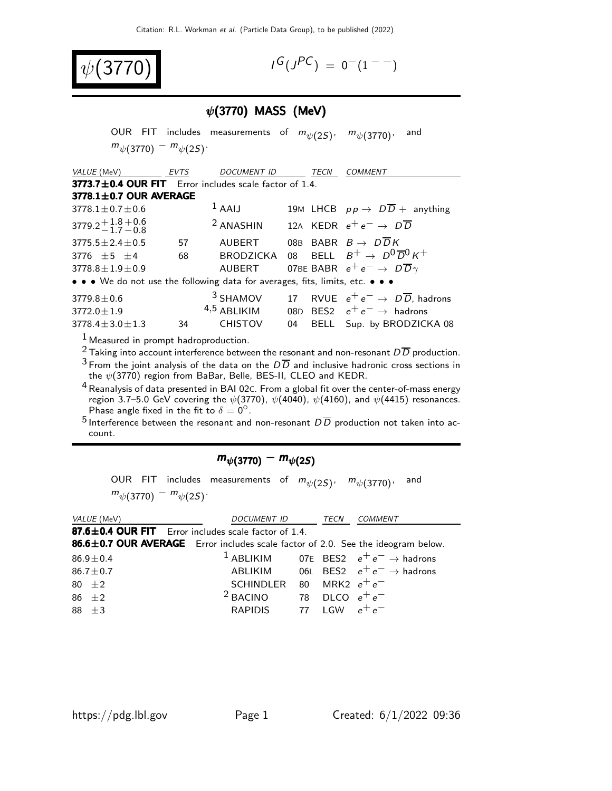

 $G(J^{PC}) = 0^{-}(1^{--})$ 

### $\psi$ (3770) MASS (MeV)

OUR FIT includes measurements of  $m_{\psi(2S)}$ ,  $m_{\psi(3770)}$ , and  $m_{\psi(3770)} - m_{\psi(2S)}$ VALUE (MeV) EVTS DOCUMENT ID TECN COMMENT  $3773.7 \pm 0.4$  OUR FIT Error includes scale factor of 1.4.  $3778.1 \pm 0.7$  OUR AVERAGE  $3778.1 \pm 0.7 \pm 0.6$ 1 AAIJ 19M LHCB  $pp \rightarrow D\overline{D}$  + anything 3779.2 $\substack{+1.8 \ -1.7}$  $-1.7$  $+0.6$  $-0.8$ <sup>2</sup> ANASHIN 12A KEDR  $e^+e^- \rightarrow D\overline{D}$ 3775.5 $\pm$ 2.4 $\pm$ 0.5 57 AUBERT 08B BABR  $B \to D\overline{D}K$ <br>3776  $\pm$ 5  $\pm$ 4 68 BRODZICKA 08 BELL  $B^+ \to D^0\overline{I}$ 3776  $\pm$ 5  $\pm$ 4 68 BRODZICKA 08 BELL  $B^+ \rightarrow D^0 \overline{D}{}^0 K^+$ 3778.8 $\pm$ 1.9 $\pm$ 0.9 AUBERT 07BE BABR  $e^+ e^- \rightarrow D \overline{D}{}_{\gamma}$ 07BE BABR  $e^+e^- \rightarrow D\overline{D}\gamma$ • • • We do not use the following data for averages, fits, limits, etc. • • • 3779.8±0.6 <sup>3</sup> SHAMOV 17 RVUE  $e^+e^- \rightarrow D\overline{D}$ , hadrons<br><sup>4,5</sup> ABLIKIM 08D BES2  $e^+e^- \rightarrow$  hadrons  $3772.0 \pm 1.9$ <br> $3778.4 \pm 3.0 \pm 1.3$  $ABLIKIM$  08D BES2  $e^+e^- \rightarrow$  hadrons<br>CHISTOV 04 BELL Sup. by BRODZICI 34 CHISTOV 04 BELL Sup. by BRODZICKA 08  $<sup>1</sup>$  Measured in prompt hadroproduction.</sup>

<sup>2</sup> Taking into account interference between the resonant and non-resonant  $D\overline{D}$  production.  $3$  From the joint analysis of the data on the  $D\overline{D}$  and inclusive hadronic cross sections in the  $\psi(3770)$  region from BaBar, Belle, BES-II, CLEO and KEDR.

<sup>4</sup> Reanalysis of data presented in BAI 02C. From a global fit over the center-of-mass energy region 3.7–5.0 GeV covering the  $\psi(3770)$ ,  $\psi(4040)$ ,  $\psi(4160)$ , and  $\psi(4415)$  resonances. Phase angle fixed in the fit to  $\delta = 0^\circ$ .

 $^5$  Interference between the resonant and non-resonant  $D\overline{D}$  production not taken into account.

#### $m_{\psi(3770)} - m_{\psi(2S)}$

OUR FIT includes measurements of  $m_{\psi(2S)}$ ,  $m_{\psi(3770)}$ , and  $m_{\psi(3770)} - m_{\psi(2S)}$ 

| VALUE (MeV)                                                                      | <i>DOCUMENT ID</i>      | TECN             | <b>COMMENT</b>                                             |
|----------------------------------------------------------------------------------|-------------------------|------------------|------------------------------------------------------------|
| 87.6±0.4 OUR FIT Error includes scale factor of 1.4.                             |                         |                  |                                                            |
| 86.6±0.7 OUR AVERAGE Error includes scale factor of 2.0. See the ideogram below. |                         |                  |                                                            |
| $86.9 \pm 0.4$                                                                   |                         |                  | <sup>1</sup> ABLIKIM 07E BES2 $e^+e^- \rightarrow$ hadrons |
| $86.7 \pm 0.7$                                                                   | ABLIKIM                 |                  | 06L BES2 $e^+e^- \rightarrow$ hadrons                      |
| 80 $\pm 2$                                                                       | <b>SCHINDLER</b>        | 80 MRK2 $e^+e^-$ |                                                            |
| $86 + 2$                                                                         | <sup>2</sup> BACINO     | 78 DLCO $e^+e^-$ |                                                            |
| $88 + 3$                                                                         | RAPIDIS 77 LGW $e^+e^-$ |                  |                                                            |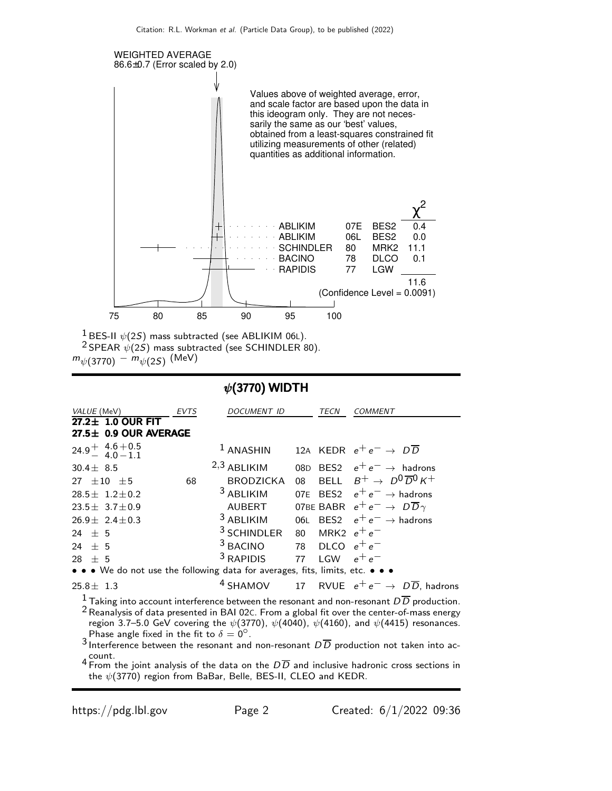

<sup>1</sup> BES-II  $\psi(2S)$  mass subtracted (see ABLIKIM 06L).  $2$  SPEAR  $\psi(25)$  mass subtracted (see SCHINDLER 80).  $m_{\psi(3770)}$   $m_{\psi(2S)}$  (MeV)

#### $\psi$ (3770) WIDTH

| VALUE (MeV)                                                                   | EVTS | <i>DOCUMENT ID</i>                      |    | TECN            | <b>COMMENT</b>                                                                                                                                                                                           |
|-------------------------------------------------------------------------------|------|-----------------------------------------|----|-----------------|----------------------------------------------------------------------------------------------------------------------------------------------------------------------------------------------------------|
| 27.2± 1.0 OUR FIT<br>27.5± 0.9 OUR AVERAGE                                    |      |                                         |    |                 |                                                                                                                                                                                                          |
| $24.9 + 4.6 + 0.5$<br>4.0 - 1.1                                               |      | $1$ ANASHIN                             |    |                 | 12A KEDR $e^+e^- \rightarrow D\overline{D}$                                                                                                                                                              |
| $30.4 \pm 8.5$                                                                |      | $2,3$ ABLIKIM                           |    |                 | 08D BES2 $e^+e^- \rightarrow$ hadrons                                                                                                                                                                    |
| 27 $\pm 10$ $\pm 5$                                                           | 68   | <b>BRODZICKA</b>                        | 08 |                 | BELL $B^+ \rightarrow D^0\overline{D}^0 K^+$                                                                                                                                                             |
| $28.5 \pm 1.2 \pm 0.2$                                                        |      | <sup>3</sup> ABLIKIM                    |    |                 | 07E BES2 $e^+e^- \rightarrow$ hadrons                                                                                                                                                                    |
| 23.5 $\pm$ 3.7 $\pm$ 0.9                                                      |      | AUBERT                                  |    |                 | 07BE BABR $e^+e^- \rightarrow D\overline{D}\gamma$                                                                                                                                                       |
| $26.9 \pm 2.4 \pm 0.3$                                                        |      | <sup>3</sup> ABLIKIM                    |    |                 | 06L BES2 $e^+e^- \rightarrow$ hadrons                                                                                                                                                                    |
| $24 + 5$                                                                      |      | <sup>3</sup> SCHINDLER 80 MRK2 $e^+e^-$ |    |                 |                                                                                                                                                                                                          |
| 24 $\pm$ 5                                                                    |      | $3$ BACINO 78 DLCO $e^+e^-$             |    |                 |                                                                                                                                                                                                          |
| 28 $\pm$ 5                                                                    |      | $3$ RAPIDIS                             |    | 77 LGW $e^+e^-$ |                                                                                                                                                                                                          |
| • • • We do not use the following data for averages, fits, limits, etc. • • • |      |                                         |    |                 |                                                                                                                                                                                                          |
| $25.8 \pm 1.3$                                                                |      |                                         |    |                 | <sup>4</sup> SHAMOV 17 RVUE $e^+e^- \rightarrow D\overline{D}$ , hadrons                                                                                                                                 |
|                                                                               |      |                                         |    |                 | $^1$ Taking into account interference between the resonant and non-resonant $D\overline{D}$ production.<br>$2$ Reanalysis of data presented in BAI 02C. From a global fit over the center-of-mass energy |

region 3.7–5.0 GeV covering the  $\psi(3770)$ ,  $\psi(4040)$ ,  $\psi(4160)$ , and  $\psi(4415)$  resonances. Phase angle fixed in the fit to  $\delta = 0^\circ$ .

3 Interference between the resonant and non-resonant  $D\overline{D}$  production not taken into ac-4 Count.<br>4 From the joint analysis of the data on the  $D\overline{D}$  and inclusive hadronic cross sections in

the  $\psi(3770)$  region from BaBar, Belle, BES-II, CLEO and KEDR.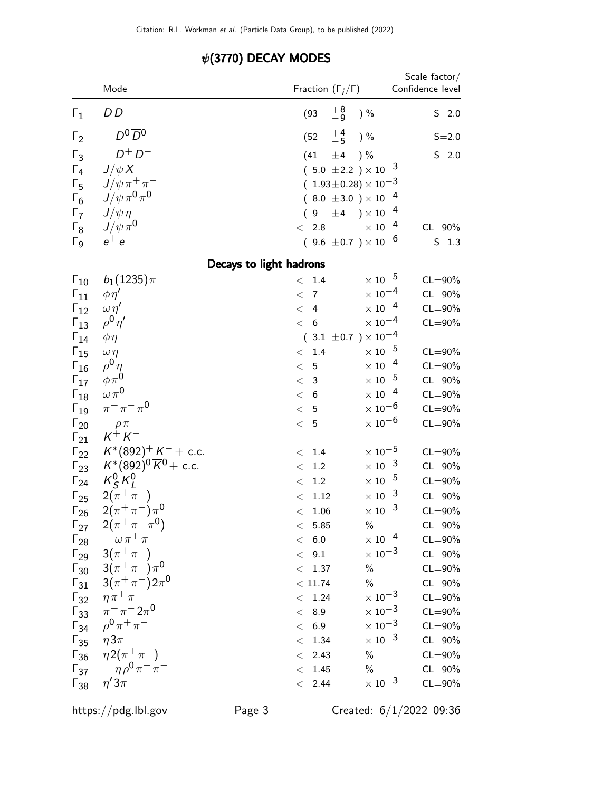|                                | Mode                                                            | Fraction $(\Gamma_i/\Gamma)$        | Scale factor/<br>Confidence level                 |
|--------------------------------|-----------------------------------------------------------------|-------------------------------------|---------------------------------------------------|
| $\Gamma_1$                     | D <sub>D</sub>                                                  | $\pm 8$<br>$-9$<br>(93)             | $)$ %<br>$S = 2.0$                                |
| $\Gamma_2$                     | $D^0\overline{D}{}^0$                                           | $+4$<br>$-5$<br>(52)                | ) %<br>$S = 2.0$                                  |
| $\Gamma_3$                     | $D^+D^-$                                                        | ±4<br>(41)                          | $)$ %<br>$S = 2.0$                                |
| $\Gamma_4$                     | $J/\psi X$                                                      | $(5.0 \pm 2.2) \times 10^{-3}$      |                                                   |
| $\Gamma_5$                     | $J/\psi \pi^+ \pi^-$                                            | $(1.93\pm0.28)\times10^{-3}$        |                                                   |
| $\Gamma_6$                     | $J/\psi \pi^0 \pi^0$                                            | $(8.0 \pm 3.0) \times 10^{-4}$      |                                                   |
| $\Gamma_7$                     | $J/\psi\eta$                                                    | $(9 \pm 4) \times 10^{-4}$          |                                                   |
| $\Gamma_8$                     | $J/\psi \pi^0$                                                  | < 2.8                               | $\times$ 10 <sup>-4</sup><br>$CL = 90\%$          |
| $\Gamma$ <sub>9</sub>          | $e^+e^-$                                                        | $(9.6 \pm 0.7) \times 10^{-6}$      | $S = 1.3$                                         |
|                                | Decays to light hadrons                                         |                                     |                                                   |
| $\Gamma_{10}$                  | $b_1(1235)\pi$                                                  | < 1.4                               | $\times$ 10 <sup>-5</sup><br>$CL = 90\%$          |
| $\Gamma_{11}$                  | $\phi \eta'$                                                    | < 7                                 | $\times$ 10 $^{-4}$<br>$CL = 90\%$                |
| $\Gamma_{12}$                  | $\omega \eta'$                                                  | < 4                                 | $\times$ 10 $^{-4}$<br>$CL = 90\%$                |
| $\Gamma_{13}$                  | $ho^0 \eta'$                                                    | < 6                                 | $\times$ 10 $^{-4}$<br>$CL = 90\%$                |
| $\Gamma_{14}$                  | $\phi\eta$                                                      | $(3.1 \pm 0.7) \times 10^{-4}$      |                                                   |
| $\Gamma_{15}$                  | $\omega \eta$                                                   | < 1.4                               | $\times$ 10 $^{-5}$<br>$CL = 90\%$                |
| $\Gamma_{16}$                  | $\rho^0 \eta$                                                   | < 5                                 | $\times$ $10^{-4}$<br>$CL = 90\%$                 |
| $\Gamma_{17}$                  | $\phi\pi^0$                                                     | < 3                                 | $\times$ $10^{-5}$<br>$CL = 90\%$                 |
| $\Gamma_{18}$                  | $\omega \pi^0$                                                  | < 6                                 | $\times$ 10 $^{-4}$<br>$CL = 90\%$                |
| $\Gamma_{19}$                  | $\pi^{+}\pi^{-}\pi^{0}$                                         | < 5                                 | $\times$ 10 $^{-6}$<br>$CL = 90\%$                |
| $\Gamma_{20}$                  | $\rho \pi$<br>$K^+ K^-$                                         | < 5                                 | $\times$ 10 $^{-6}$<br>$CL = 90\%$                |
| $\Gamma_{21}$                  |                                                                 |                                     | $\times$ 10 $^{-5}$                               |
| $\Gamma_{22}$                  | $K^*(892)^+ K^- +$ c.c.<br>$K^*(892)^0 \overline{K}{}^0$ + c.c. | $< 1.4$<br>1.2                      | $CL = 90\%$<br>$\times$ 10 $^{-3}$<br>$CL = 90\%$ |
| $\Gamma_{23}$                  | $K_S^0 K_l^0$                                                   | $\lt$<br>1.2                        | $\times$ 10 $^{-5}$<br>$CL = 90\%$                |
| $\Gamma_{24}$                  | $2(\pi^{+}\pi^{-})$                                             | $\,<$                               | $\times$ $10^{-3}$                                |
| $\Gamma_{25}$                  | $2(\pi^{+}\pi^{-})\pi^{0}$                                      | 1.12<br>$\lt$<br>$<\phantom{0}1.06$ | $CL = 90\%$<br>$\times$ 10 $^{-3}$<br>$CL = 90\%$ |
| $\Gamma_{26}$                  | $2(\pi^+\pi^-\pi^0)$                                            | < 5.85                              | $CL = 90\%$<br>$\%$                               |
| $\Gamma_{27}$<br>$\Gamma_{28}$ | $\omega \pi^+ \pi^-$                                            | < 6.0                               | $\times$ 10 $^{-4}$<br>$CL = 90\%$                |
|                                | $\Gamma_{29}$ 3( $\pi^{+}\pi^{-}$ )                             | < 9.1                               | $\times$ 10 $^{-3}$<br>$CL = 90\%$                |
|                                | $\Gamma_{30}$ 3( $\pi^{+}\pi^{-}\pi^{0}$                        | < 1.37                              | $\%$<br>$CL = 90\%$                               |
|                                | $\Gamma_{31}$ 3( $\pi^{+}\pi^{-}$ )2 $\pi^{0}$                  | < 11.74                             | $\%$<br>$CL = 90\%$                               |
| $\Gamma_{32}$                  | $\eta \pi^+ \pi^-$                                              | $< 1.24$                            | $\times$ 10 $^{-3}$<br>$CL = 90\%$                |
| $\Gamma_{33}$                  | $\pi^{+}\pi^{-}2\pi^{0}$                                        | < 8.9                               | $\times$ 10 $^{-3}$<br>$CL = 90\%$                |
|                                | $\Gamma_{34}$ $\rho^0 \pi^+ \pi^-$                              | < 6.9                               | $\times$ 10 $^{-3}$<br>$CL = 90\%$                |
| $\Gamma_{35}$ $\eta 3\pi$      |                                                                 | < 1.34                              | $\times$ 10 $^{-3}$<br>$CL = 90\%$                |
| $\Gamma_{36}$                  | $\eta 2(\pi^+\pi^-)$                                            | < 2.43                              | $\%$<br>$CL = 90\%$                               |
| $\Gamma_{37}$                  | $\eta \rho^0 \pi^+ \pi^-$                                       | < 1.45                              | $\%$<br>$CL = 90\%$                               |
| $\Gamma_{38}$                  | $\eta' 3\pi$                                                    | < 2.44                              | $\times$ 10 $^{-3}$<br>$CL = 90\%$                |

## $\psi$ (3770) DECAY MODES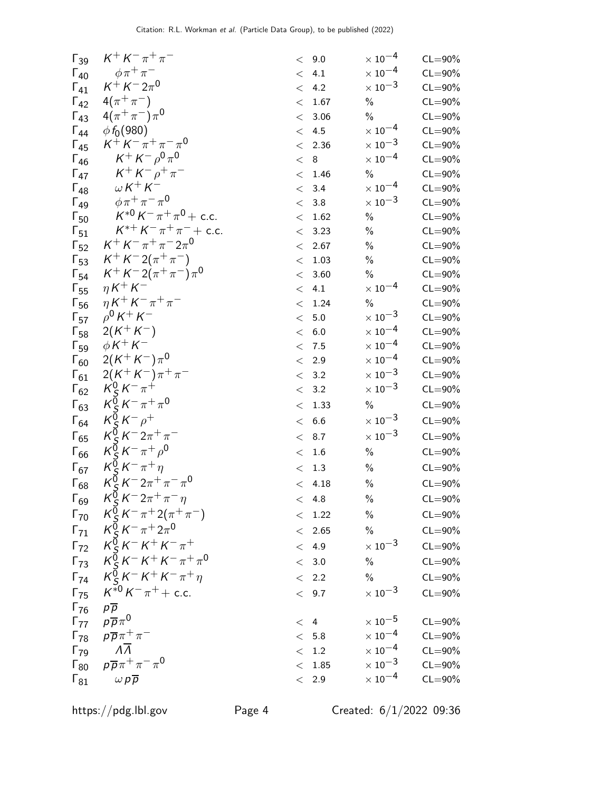| $\Gamma_{39}$                 | $K^{+} K^{-} \pi^{+} \pi^{-}$                                                                                    |       | < 9.0          | $\times$ $10^{-4}$        | $CL = 90\%$ |
|-------------------------------|------------------------------------------------------------------------------------------------------------------|-------|----------------|---------------------------|-------------|
| $\Gamma_{40}$                 | $\phi \pi^+ \pi^-$                                                                                               |       | < 4.1          | $\times$ $10^{-4}$        | $CL = 90\%$ |
| $\Gamma_{41}$                 | $K^{+} K^{-} 2 \pi^{0}$                                                                                          |       | < 4.2          | $\times\,10^{-3}$         | $CL = 90\%$ |
| $\Gamma_{42}$                 | $4(\pi^{+}\pi^{-})$                                                                                              |       | < 1.67         | $\%$                      | $CL = 90\%$ |
| $\Gamma_{43}$                 | $4(\pi^{+}\pi^{-})\pi^{0}$                                                                                       |       | < 3.06         | $\%$                      | $CL = 90\%$ |
| $\Gamma_{44}$                 | $\phi f_0(980)$                                                                                                  |       | < 4.5          | $\times$ 10 <sup>-4</sup> | $CL = 90\%$ |
| $\Gamma_{45}$                 | $K^+ K^- \pi^+ \pi^- \pi^0$                                                                                      |       | < 2.36         | $\times$ 10 <sup>-3</sup> | $CL = 90\%$ |
| $\Gamma_{46}$                 | $K^+ K^- \rho^0 \pi^0$                                                                                           | < 8   |                | $\times$ $10^{-4}$        | $CL = 90\%$ |
| $\Gamma_{47}$                 | $K^+ K^- \rho^+ \pi^-$                                                                                           |       | < 1.46         | $\%$                      | $CL = 90\%$ |
| $\Gamma_{48}$                 | $\omega K^+ K^-$                                                                                                 |       | < 3.4          | $\times$ 10 $^{-4}$       | $CL = 90\%$ |
| $\Gamma_{49}$                 | $\phi \pi^+ \pi^- \pi^0$                                                                                         |       | < 3.8          | $\times\,10^{-3}$         | $CL = 90\%$ |
| $\Gamma_{50}$                 | $K^{*0} K^- \pi^+ \pi^0$ + c.c.                                                                                  |       | < 1.62         | $\%$                      | $CL = 90\%$ |
| $\mathsf{r}_{51}$             | $K^{*+} K^- \pi^+ \pi^-$ + c.c.                                                                                  |       | < 3.23         | $\%$                      | $CL = 90\%$ |
| $\Gamma_{52}$                 | $K^+ K^- \pi^+ \pi^- 2 \pi^0$                                                                                    |       | < 2.67         | $\%$                      | $CL = 90\%$ |
| $\Gamma_{53}$                 | $K^+ K^- 2(\pi^+ \pi^-)$                                                                                         |       | < 1.03         | $\%$                      | $CL = 90\%$ |
| $\Gamma_{54}$                 | $K^+ K^- 2(\pi^+ \pi^-) \pi^0$                                                                                   |       | < 3.60         | $\%$                      | $CL = 90\%$ |
| $\mathsf{F}_{55}$             | $\eta K^+ K^-$                                                                                                   |       | < 4.1          | $\times$ 10 <sup>-4</sup> | $CL = 90\%$ |
| $\mathsf{F}_{56}$             | $\eta K^+ K^- \pi^+ \pi^-$                                                                                       |       | < 1.24         | $\%$                      | $CL = 90\%$ |
| $\Gamma_{57}$                 | $\rho^{0} K^{+} K^{-}$                                                                                           | $\lt$ | $5.0\,$        | $\times\,10^{-3}$         | $CL = 90\%$ |
| $\Gamma_{58}$                 | $2(K^+K^-)$                                                                                                      |       | < 6.0          | $\times\,10^{-4}$         | $CL = 90\%$ |
| $\Gamma_{59}$                 | $\phi K^+ K^-$                                                                                                   |       | < 7.5          | $\times$ 10 <sup>-4</sup> | $CL = 90\%$ |
| $\Gamma_{60}$                 | $2(K^+K^-)\pi^0$                                                                                                 |       | < 2.9          | $\times$ 10 <sup>-4</sup> | $CL = 90\%$ |
| $\Gamma_{61}$                 | $2(K^+K^-)\pi^+\pi^-$                                                                                            |       | < 3.2          | $\times$ 10 <sup>-3</sup> | $CL = 90\%$ |
| $\Gamma_{62}$                 | $K_S^0 K^- \pi^+$                                                                                                |       | < 3.2          | $\times$ 10 $^{-3}$       | $CL = 90\%$ |
| $\Gamma_{63}$                 | $K_S^0 K^- \pi^+ \pi^0$                                                                                          |       | < 1.33         | $\%$                      | $CL = 90\%$ |
| $\Gamma_{64}$                 | $K_S^0 K^- \rho^+$                                                                                               |       | < 6.6          | $\times$ 10 $^{-3}$       | $CL = 90\%$ |
| $\Gamma_{65}$                 | $K_S^0 K^- 2\pi^+\pi^-$                                                                                          | $\lt$ | 8.7            | $\times\,10^{-3}$         | $CL = 90\%$ |
| $\Gamma_{66}$                 | $K_S^0 K^- \pi^+ \rho^0$                                                                                         |       | < 1.6          | $\%$                      | $CL = 90\%$ |
| $\Gamma_{67}$                 | $K_S^0 K^- \pi^+ \eta$                                                                                           |       | < 1.3          | $\%$                      | $CL = 90\%$ |
| $\Gamma_{68}$                 | $K_S^{\bar{0}} K^- 2\pi^+ \pi^- \pi^0$                                                                           |       | < 4.18         | $\%$                      | $CL = 90\%$ |
| $\Gamma_{69}$                 | $K_S^0 K^- 2\pi^+ \pi^- \eta$                                                                                    |       | < 4.8          | $\%$                      | $CL = 90\%$ |
| $\Gamma_{70}$                 | $K_S^0 K^- \pi^+ 2(\pi^+ \pi^-)$                                                                                 |       | < 1.22         | $\%$                      | $CL = 90\%$ |
|                               | $\Gamma_{71}$ $K_S^{\bar{0}} K^- \pi^+ 2\pi^0$                                                                   |       | < 2.65         | $\%$                      | $CL = 90\%$ |
|                               | $\Gamma_{72}$ $K_S^0 K^- K^+ K^- \pi^+$                                                                          |       | < 4.9          | $\times$ 10 $^{-3}$       | $CL = 90\%$ |
|                               | $\Gamma_{73}$ $K_S^0 K^- K^+ K^- \pi^+ \pi^0$                                                                    |       | < 3.0          | $\%$                      | $CL = 90\%$ |
| $\Gamma_{74}$                 | $K_S^0 K^- K^+ K^- \pi^+ \eta$                                                                                   |       | < 2.2          | $\%$                      | $CL = 90\%$ |
|                               | $\Gamma_{75}$ $K^{*0}K^{-}\pi^{+}+$ c.c.                                                                         |       |                | $\times$ 10 $^{-3}$       |             |
|                               |                                                                                                                  |       | < 9.7          |                           | $CL = 90\%$ |
| $\Gamma_{76}$ $p\overline{p}$ | $p\overline{p}\pi^0$                                                                                             |       |                | $\times$ 10 $^{-5}$       | $CL = 90\%$ |
| $\Gamma_{77}$                 |                                                                                                                  |       | $<$ 4<br>< 5.8 | $\times$ 10 $^{-4}$       | $CL = 90\%$ |
| $\Gamma_{79}$                 | $\begin{array}{cc} \Gamma_{78} & p\overline{p}\pi^+\pi^- \\ \Gamma_{79} & \Lambda\overline{\Lambda} \end{array}$ |       | < 1.2          | $\times$ 10 $^{-4}$       | $CL = 90\%$ |
|                               | $\Gamma_{80}$ $\rho \overline{\rho} \pi^+ \pi^- \pi^0$                                                           |       | < 1.85         | $\times$ 10 $^{-3}$       | $CL = 90\%$ |
|                               | $\omega p\overline{p}$                                                                                           |       | < 2.9          | $\times$ 10 $^{-4}$       | $CL = 90\%$ |
| $\mathsf{\Gamma}_{81}$        |                                                                                                                  |       |                |                           |             |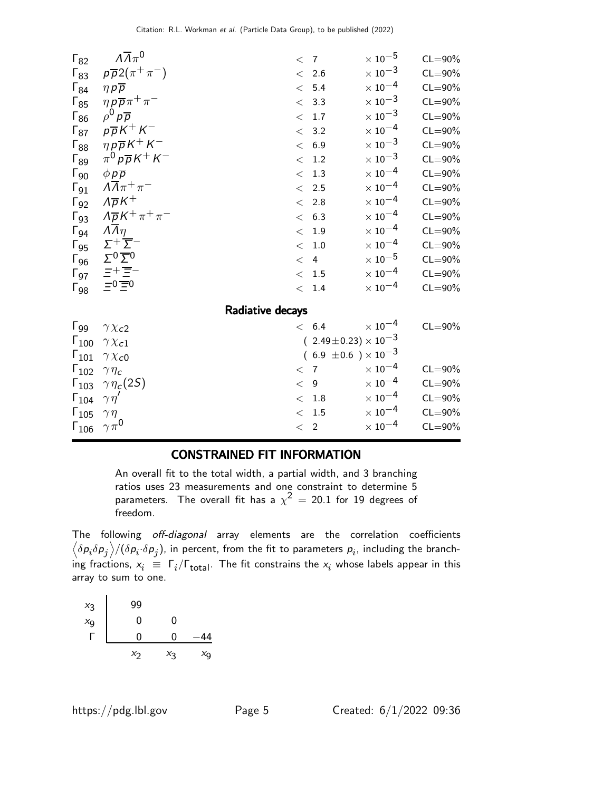| $\Gamma_{82}$          | $\Lambda \overline{\Lambda} \pi^0$                                               | < 7         |                                  | $\times$ 10 $^{-5}$       | $CL = 90\%$ |
|------------------------|----------------------------------------------------------------------------------|-------------|----------------------------------|---------------------------|-------------|
| $\Gamma_{83}$          | $p\overline{p}2(\pi^+\pi^-)$                                                     |             | < 2.6                            | $\times\,10^{-3}$         | $CL = 90\%$ |
| $\Gamma_{84}$          | $\eta p \overline{p}$                                                            |             | < 5.4                            | $\times$ 10 $^{-4}$       | $CL = 90\%$ |
| $\Gamma_{85}$          | $\eta \rho \overline{\rho} \pi^+ \pi^-$                                          |             | < 3.3                            | $\times$ 10 $^{-3}$       | $CL = 90\%$ |
| $\Gamma_{86}$          | $\rho^0 p \overline{p}$                                                          |             | < 1.7                            | $\times$ 10 $^{-3}$       | $CL = 90\%$ |
| $\Gamma_{87}$          | $p\overline{p}K^+K^-$                                                            |             | < 3.2                            | $\times$ 10 $^{-4}$       | $CL = 90\%$ |
| $\Gamma_{88}$          | $\eta\,p\overline{p}\,K^+\,K^-$                                                  |             | < 6.9                            | $\times\,10^{-3}$         | $CL = 90\%$ |
| $\Gamma_{89}$          | $\pi^0 p \overline{p} K^+ K^-$                                                   |             | < 1.2                            | $\times$ 10 $^{-3}$       | $CL = 90\%$ |
| $\Gamma_{90}$          | $\phi p \overline{p}$                                                            |             | < 1.3                            | $\times$ 10 $^{-4}$       | $CL = 90\%$ |
| $\Gamma_{91}$          | $\Lambda \overline{\Lambda} \pi^+ \pi^-$                                         |             | < 2.5                            | $\times$ 10 $^{-4}$       | $CL = 90\%$ |
| $\Gamma_{92}$          | $\Lambda \overline{\rho} K^+$                                                    |             | < 2.8                            | $\times$ 10 $^{-4}$       | $CL = 90\%$ |
| $\Gamma_{93}$          | $\Lambda \overline{\rho} K^+ \pi^+ \pi^-$                                        |             | < 6.3                            | $\times$ 10 $^{-4}$       | $CL = 90\%$ |
| $\Gamma_{94}$          | $\Lambda \Lambda \eta$                                                           |             | < 1.9                            | $\times\,10^{-4}$         | $CL = 90\%$ |
| $\Gamma_{95}$          | $\Sigma^+\overleftarrow{\Sigma}^-$                                               |             | < 1.0                            | $\times\,10^{-4}$         | $CL = 90\%$ |
| $\mathsf{\Gamma}_{96}$ | $\Sigma^0 \overline{\Sigma}{}^0$                                                 |             | < 4                              | $\times$ 10 $^{-5}$       | $CL = 90\%$ |
| $\Gamma_{97}$          | $\begin{array}{c}\n\Xi^+\overline{\Xi}^-\\ \n\Xi^0\overline{\Xi}^0\n\end{array}$ |             | < 1.5                            | $\times$ 10 $^{-4}$       | $CL = 90\%$ |
| $\Gamma_{98}$          |                                                                                  |             | < 1.4                            | $\times$ 10 $^{-4}$       | $CL = 90\%$ |
|                        | Radiative decays                                                                 |             |                                  |                           |             |
| $\Gamma_{99}$          | $\gamma \chi_{c2}$                                                               |             | < 6.4                            | $\times$ $10^{-4}$        | $CL = 90\%$ |
| $\Gamma_{100}$         | $\gamma \chi_{c1}$                                                               |             | $(2.49 \pm 0.23) \times 10^{-3}$ |                           |             |
| $\Gamma_{101}$         | $\gamma \chi_{c0}$                                                               |             | $(6.9 \pm 0.6) \times 10^{-3}$   |                           |             |
| $\Gamma_{102}$         | $\gamma \eta_c$                                                                  | < 7         |                                  | $\times$ 10 <sup>-4</sup> | $CL = 90\%$ |
| $\Gamma_{103}$         | $\gamma\eta_c(2S)$                                                               | $\lt$ 9     |                                  | $\times$ $10^{-4}$        | $CL = 90\%$ |
| $\Gamma_{104}$         | $\gamma\eta'$                                                                    | $\lt$       | 1.8                              | $\times$ 10 <sup>-4</sup> | $CL = 90\%$ |
| $\Gamma_{105}$         | $\gamma\eta$                                                                     |             | < 1.5                            | $\times$ 10 <sup>-4</sup> | $CL = 90\%$ |
| $\Gamma_{106}$         | $\gamma \pi^0$                                                                   | $\langle$ 2 |                                  | $\times$ 10 $^{-4}$       | $CL = 90\%$ |

#### CONSTRAINED FIT INFORMATION

An overall fit to the total width, a partial width, and 3 branching ratios uses 23 measurements and one constraint to determine 5 parameters. The overall fit has a  $\chi^2\,=\,$  20.1 for 19 degrees of freedom.

The following off-diagonal array elements are the correlation coefficients  $\left<\delta p_i\delta p_j\right>$ / $(\delta p_i\cdot\delta p_j)$ , in percent, from the fit to parameters  $p_i$ , including the branching fractions,  $x_i \equiv \Gamma_i/\Gamma_{\rm total}$ . The fit constrains the  $x_i$  whose labels appear in this array to sum to one.

| $x_3$             | 99 |       |                |
|-------------------|----|-------|----------------|
| $\frac{x_9}{x_9}$ | 0  | U     |                |
|                   | 0  | O     | 44             |
|                   | X7 | $X_3$ | X <sub>9</sub> |

l.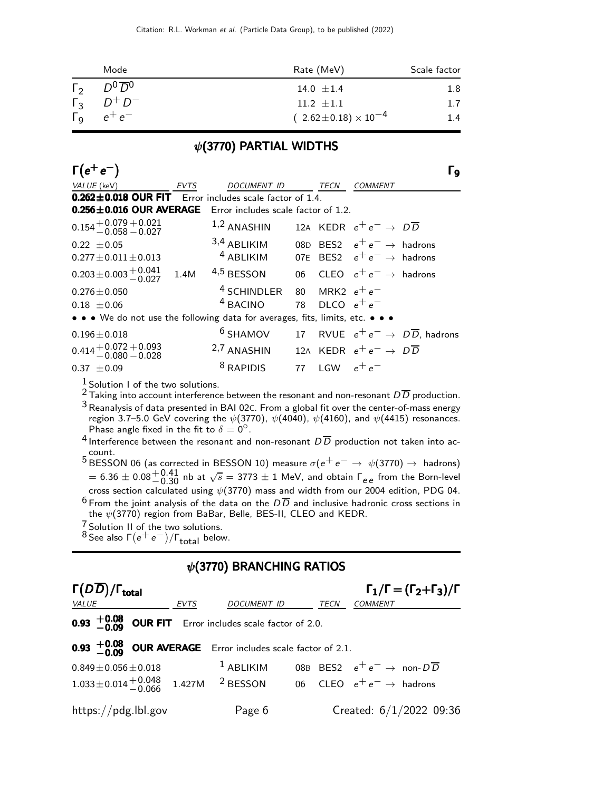|                       | Mode                  | Rate (MeV)                       | Scale factor |
|-----------------------|-----------------------|----------------------------------|--------------|
| $\Gamma_{2}$          | $D^0\overline{D}{}^0$ | 14.0 $\pm$ 1.4                   | $1.8\,$      |
| $\Gamma_{3}$          | $D^+D^-$              | $11.2 \pm 1.1$                   | 1.7          |
| $\Gamma_{\mathsf{Q}}$ | $e^+e^-$              | $(2.62 \pm 0.18) \times 10^{-4}$ | 1.4          |

#### $\psi$ (3770) PARTIAL WIDTHS

| $\Gamma(e^+e^-)$                                                                 |                                                                          |                  |                                             | و ا |
|----------------------------------------------------------------------------------|--------------------------------------------------------------------------|------------------|---------------------------------------------|-----|
| VALUE (keV)<br><b>EVTS</b>                                                       | DOCUMENT ID TECN                                                         |                  | COMMENT                                     |     |
| $0.262 \pm 0.018$ OUR FIT Error includes scale factor of 1.4.                    |                                                                          |                  |                                             |     |
| 0.256±0.016 OUR AVERAGE Error includes scale factor of 1.2.                      |                                                                          |                  |                                             |     |
| $0.154 + 0.079 + 0.021$<br>$-0.058 - 0.027$                                      | 1,2 ANASHIN 12A KEDR $e^+e^- \rightarrow D\overline{D}$                  |                  |                                             |     |
| $0.22 \pm 0.05$                                                                  | 3,4 ABLIKIM 08D BES2 $e^+e^- \rightarrow$ hadrons                        |                  |                                             |     |
| $0.277 \pm 0.011 \pm 0.013$                                                      | <sup>4</sup> ABLIKIM 07E BES2 $e^+e^- \rightarrow$ hadrons               |                  |                                             |     |
| $0.203 \pm 0.003 \pm 0.041$ 1.4M 4,5 BESSON 06 CLEO $e^+e^- \rightarrow$ hadrons |                                                                          |                  |                                             |     |
| $0.276 \pm 0.050$                                                                | <sup>4</sup> SCHINDLER 80 MRK2 $e^+e^-$                                  |                  |                                             |     |
| $0.18 \pm 0.06$                                                                  | <sup>4</sup> BACINO                                                      | 78 DLCO $e^+e^-$ |                                             |     |
| • • • We do not use the following data for averages, fits, limits, etc. • • •    |                                                                          |                  |                                             |     |
| $0.196 \pm 0.018$                                                                | <sup>6</sup> SHAMOV 17 RVUE $e^+e^- \rightarrow D\overline{D}$ , hadrons |                  |                                             |     |
| $0.414 + 0.072 + 0.093$<br>$0.60 - 0.028$                                        | <sup>2,7</sup> ANASHIN                                                   |                  | 12A KEDR $e^+e^- \rightarrow D\overline{D}$ |     |
| $0.37 \pm 0.09$                                                                  | <sup>8</sup> RAPIDIS                                                     | 77 LGW $e^+e^-$  |                                             |     |

 $\frac{1}{2}$  Solution I of the two solutions.

<sup>2</sup> Taking into account interference between the resonant and non-resonant  $D\overline{D}$  production.

3Reanalysis of data presented in BAI 02C. From a global fit over the center-of-mass energy region 3.7–5.0 GeV covering the  $\psi(3770)$ ,  $\psi(4040)$ ,  $\psi(4160)$ , and  $\psi(4415)$  resonances. Phase angle fixed in the fit to  $\delta = 0^\circ$ .

<sup>4</sup> Interference between the resonant and non-resonant  $D\overline{D}$  production not taken into account.

 $5$  BESSON 06 (as corrected in BESSON 10) measure  $σ(e^+e^-$  →  $ψ(3770)$  → hadrons)  $= 6.36 \pm 0.08_{-0.30}^{+0.41}$  nb at  $\sqrt{s} = 3773 \pm 1$  MeV, and obtain  $\Gamma_{ee}$  from the Born-level cross section calculated using  $\psi(3770)$  mass and width from our 2004 edition, PDG 04. <sup>6</sup> From the joint analysis of the data on the  $D\overline{D}$  and inclusive hadronic cross sections in the  $\psi(3770)$  region from BaBar, Belle, BES-II, CLEO and KEDR.

 $\frac{7}{6}$  Solution II of the two solutions.

- 
- $8$  See also  $\Gamma(e^+e^-)/\Gamma_{\text{total}}$  below.

#### $\psi$ (3770) BRANCHING RATIOS

| $\Gamma(D\overline{D})/\Gamma_{\rm total}$                                                              |      |             |      | $\Gamma_1/\Gamma = (\Gamma_2 + \Gamma_3)/\Gamma$   |
|---------------------------------------------------------------------------------------------------------|------|-------------|------|----------------------------------------------------|
| <b>VALUE</b>                                                                                            | EVTS | DOCUMENT ID | TECN | <b>COMMENT</b>                                     |
| <b>0.93</b> $+0.08$ OUR FIT Error includes scale factor of 2.0.                                         |      |             |      |                                                    |
| <b>0.93 <math>+0.08</math> OUR AVERAGE</b> Error includes scale factor of 2.1.                          |      |             |      |                                                    |
| $0.849 \pm 0.056 \pm 0.018$                                                                             |      | $1$ ABLIKIM |      | 08B BES2 $e^+e^- \rightarrow$ non- $D\overline{D}$ |
| $1.033 \pm 0.014 \frac{+0.048}{-0.066}$ 1.427M <sup>2</sup> BESSON 06 CLEO $e^+e^- \rightarrow$ hadrons |      |             |      |                                                    |
| $\frac{https://pdg.1b1.gov}{%$                                                                          |      | Page 6      |      | Created: $6/1/2022$ 09:36                          |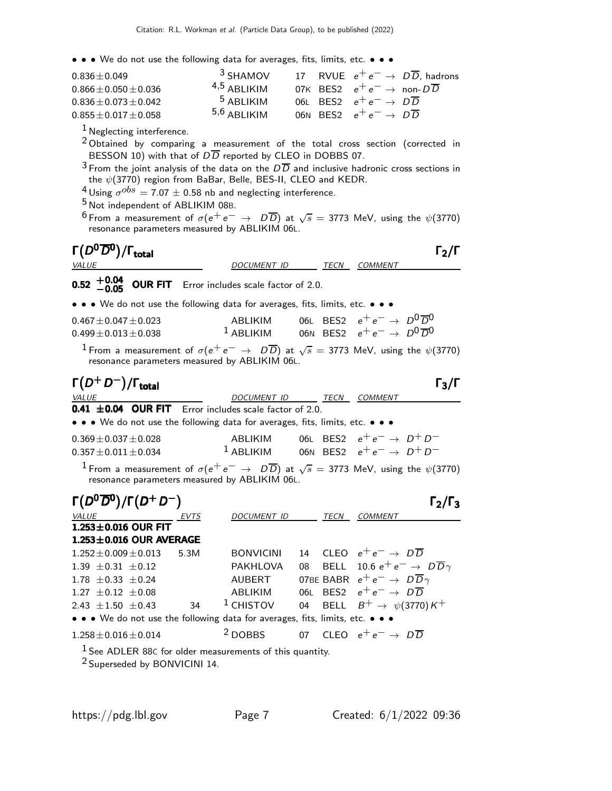| $0.836 + 0.049$         | $3$ SHAMOV     |  |                                                    | 17 RVUE $e^+e^- \rightarrow D\overline{D}$ , hadrons |
|-------------------------|----------------|--|----------------------------------------------------|------------------------------------------------------|
| $0.866 + 0.050 + 0.036$ | $4,5$ ARI IKIM |  | 07K BES2 $e^+e^- \rightarrow$ non- $D\overline{D}$ |                                                      |
| $0.836 + 0.073 + 0.042$ | $5$ ABI IKIM   |  | 06L BES2 $e^+e^- \rightarrow D\overline{D}$        |                                                      |
| $0.855 + 0.017 + 0.058$ | $5,6$ ARI IKIM |  | 06N BES2 $e^+e^- \rightarrow D\overline{D}$        |                                                      |

<sup>1</sup> Neglecting interference.

 $20$  Obtained by comparing a measurement of the total cross section (corrected in BESSON 10) with that of  $D\overline{D}$  reported by CLEO in DOBBS 07.

 $^3$  From the joint analysis of the data on the  $D\overline{D}$  and inclusive hadronic cross sections in the  $\psi(3770)$  region from BaBar, Belle, BES-II, CLEO and KEDR.

 $^{4}$ Using  $\sigma^{obs} =$  7.07  $\pm$  0.58 nb and neglecting interference.

5 Not independent of ABLIKIM 08B.

<sup>6</sup> From a measurement of  $\sigma(e^+e^-\rightarrow D\overline{D})$  at  $\sqrt{s}=$  3773 MeV, using the  $\psi(3770)$ resonance parameters measured by ABLIKIM 06L.

| $\Gamma(D^0\overline{D}{}^0)/\Gamma_{\rm total}$<br><b>VALUE</b>                                                                                                              | DOCUMENT ID TECN COMMENT                                                        |    |             |                                                    | $\mathsf{\Gamma_2}/\mathsf{\Gamma}$ |
|-------------------------------------------------------------------------------------------------------------------------------------------------------------------------------|---------------------------------------------------------------------------------|----|-------------|----------------------------------------------------|-------------------------------------|
| $+0.04$<br><b>OUR FIT</b> Error includes scale factor of 2.0.                                                                                                                 |                                                                                 |    |             |                                                    |                                     |
| • • • We do not use the following data for averages, fits, limits, etc. • • •                                                                                                 |                                                                                 |    |             |                                                    |                                     |
| $0.467 \pm 0.047 \pm 0.023$<br>$0.499 \pm 0.013 \pm 0.038$                                                                                                                    | ABLIKIM<br><sup>1</sup> ABLIKIM 06N BES2 $e^+e^- \rightarrow D^0\overline{D}^0$ |    |             | 06L BES2 $e^+e^- \rightarrow D^0\overline{D}^0$    |                                     |
| $^1$ From a measurement of $\sigma(e^+e^-\rightarrow\ D\overline{D})$ at $\sqrt{s}=$ 3773 MeV, using the $\psi(3770)$<br>resonance parameters measured by ABLIKIM 06L.        |                                                                                 |    |             |                                                    |                                     |
| $\Gamma(D^+D^-)/\Gamma_{\rm total}$                                                                                                                                           |                                                                                 |    |             |                                                    | $\Gamma_3/\Gamma$                   |
| <i>VALUE</i><br>0.41 ±0.04 OUR FIT Error includes scale factor of 2.0.                                                                                                        | DOCUMENT ID TECN COMMENT                                                        |    |             |                                                    |                                     |
| • • • We do not use the following data for averages, fits, limits, etc. • • •                                                                                                 |                                                                                 |    |             |                                                    |                                     |
| $0.369 \pm 0.037 \pm 0.028$<br>$0.357 \pm 0.011 \pm 0.034$                                                                                                                    | ABLIKIM<br><sup>1</sup> ABLIKIM 06N BES2 $e^+e^- \rightarrow D^+D^-$            |    |             | 06L BES2 $e^+e^- \rightarrow D^+D^-$               |                                     |
| <sup>1</sup> From a measurement of $\sigma(e^+e^-\rightarrow D\overline{D})$ at $\sqrt{s}=$ 3773 MeV, using the $\psi(3770)$<br>resonance parameters measured by ABLIKIM 06L. |                                                                                 |    |             |                                                    |                                     |
| $\Gamma(D^0\overline{D}^0)/\Gamma(D^+D^-)$                                                                                                                                    |                                                                                 |    |             |                                                    | $\Gamma_2/\Gamma_3$                 |
| <b>VALUE</b><br><u>EVTS</u>                                                                                                                                                   | DOCUMENT ID                                                                     |    |             | TECN COMMENT                                       |                                     |
| $1.253 \pm 0.016$ OUR FIT                                                                                                                                                     |                                                                                 |    |             |                                                    |                                     |
| $1.253 \pm 0.016$ OUR AVERAGE                                                                                                                                                 |                                                                                 |    |             | 14 CLEO $e^+e^- \rightarrow D\overline{D}$         |                                     |
| $1.252 \pm 0.009 \pm 0.013$<br>5.3M<br>1.39 $\pm$ 0.31 $\pm$ 0.12                                                                                                             | <b>BONVICINI</b><br>PAKHLOVA                                                    | 08 |             | BELL 10.6 $e^+e^- \rightarrow D\overline{D}\gamma$ |                                     |
| $1.78 \pm 0.33 \pm 0.24$                                                                                                                                                      | <b>AUBERT</b>                                                                   |    |             | 07BE BABR $e^+e^- \rightarrow D\overline{D}\gamma$ |                                     |
| $1.27 \pm 0.12 \pm 0.08$                                                                                                                                                      | ABLIKIM                                                                         |    |             | 06L BES2 $e^+e^- \rightarrow D\overline{D}$        |                                     |
| $\overline{34}$<br>2.43 $\pm$ 1.50 $\pm$ 0.43                                                                                                                                 | $1$ CHISTOV                                                                     | 04 | <b>BELL</b> | $B^+ \rightarrow \psi(3770)K^+$                    |                                     |
| • • • We do not use the following data for averages, fits, limits, etc. • • •                                                                                                 |                                                                                 |    |             |                                                    |                                     |
| $1.258 \pm 0.016 \pm 0.014$                                                                                                                                                   | <sup>2</sup> DOBBS                                                              |    |             | 07 CLEO $e^+e^- \rightarrow D\overline{D}$         |                                     |
| $1$ See ADLER 88C for older measurements of this quantity.<br><sup>2</sup> Superseded by BONVICINI 14.                                                                        |                                                                                 |    |             |                                                    |                                     |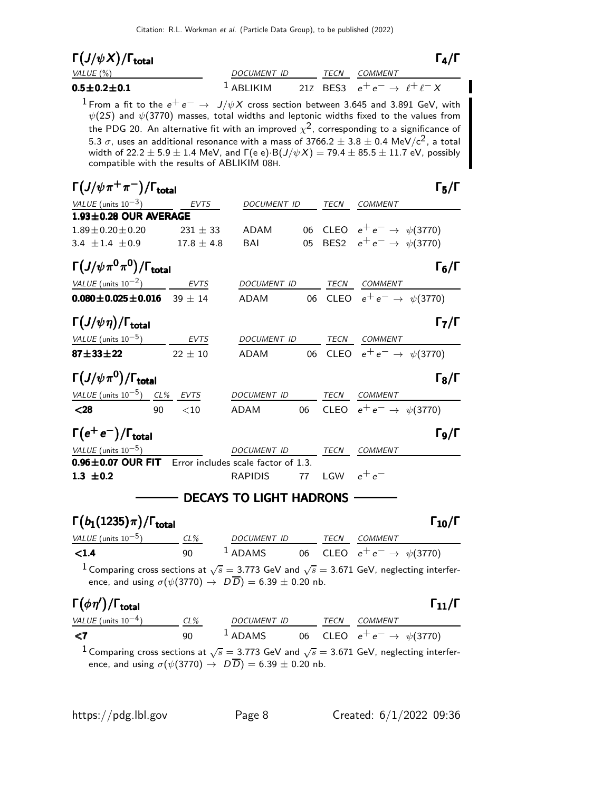| $\Gamma\big(J/\psi\,X\big)/\Gamma_{\rm total}$ |                        |      |                                              | $\Gamma_4/\Gamma$ |
|------------------------------------------------|------------------------|------|----------------------------------------------|-------------------|
| VALUE (%)                                      | DOCUMENT ID            | TFCN | COMMENT                                      |                   |
| $0.5\!\pm\!0.2\!\pm\!0.1$                      | $\frac{1}{2}$ ARI IKIM |      | 21Z BES3 $e^+e^- \rightarrow \ell^+\ell^- X$ |                   |

<sup>1</sup> From a fit to the  $e^+e^- \rightarrow J/\psi X$  cross section between 3.645 and 3.891 GeV, with  $\psi(2S)$  and  $\psi(3770)$  masses, total widths and leptonic widths fixed to the values from the PDG 20. An alternative fit with an improved  $\chi^2$ , corresponding to a significance of 5.3  $\sigma$ , uses an additional resonance with a mass of 3766.2  $\pm$  3.8  $\pm$  0.4 MeV/c<sup>2</sup>, a total width of  $22.2 \pm 5.9 \pm 1.4$  MeV, and  $\Gamma(e e) \cdot B(J/\psi X) = 79.4 \pm 85.5 \pm 11.7$  eV, possibly compatible with the results of ABLIKIM 08H.

| $\Gamma(J/\psi\pi^+\pi^-)/\Gamma_{\rm total}$               |               |                                              |  |                                         | $\Gamma_5/\Gamma$   |
|-------------------------------------------------------------|---------------|----------------------------------------------|--|-----------------------------------------|---------------------|
| VALUE (units $10^{-3}$ ) EVTS DOCUMENT ID                   |               |                                              |  | TECN COMMENT                            |                     |
| $1.93 \pm 0.28$ OUR AVERAGE                                 |               |                                              |  |                                         |                     |
| $1.89 \pm 0.20 \pm 0.20$                                    |               | $231 \pm 33$ ADAM                            |  | 06 CLEO $e^+e^- \to \psi(3770)$         |                     |
| 3.4 $\pm$ 1.4 $\pm$ 0.9 17.8 $\pm$ 4.8                      |               | <b>BAI</b>                                   |  | 05 BES2 $e^+e^- \rightarrow \psi(3770)$ |                     |
| $\Gamma(J/\psi\pi^{0}\pi^{0})/\Gamma_{\rm total}$           |               |                                              |  |                                         | $\Gamma_6/\Gamma$   |
| $VALUE (units 10-2)$ EVTS                                   |               | DOCUMENT ID TECN COMMENT                     |  |                                         |                     |
| $0.080 \pm 0.025 \pm 0.016$ 39 $\pm$ 14                     |               | ADAM 06 CLEO $e^+e^- \to \psi(3770)$         |  |                                         |                     |
| $\Gamma(J/\psi \eta)/\Gamma_{\rm total}$                    |               |                                              |  |                                         | $\Gamma_7/\Gamma$   |
| $VALUE$ (units $10^{-5}$ ) EVTS DOCUMENT ID TECN COMMENT    |               |                                              |  |                                         |                     |
| $87 + 33 + 22$                                              | $22\,\pm\,10$ | ADAM 06 CLEO $e^+e^- \rightarrow \psi(3770)$ |  |                                         |                     |
| $\Gamma(J/\psi\pi^0)/\Gamma_{\rm total}$                    |               |                                              |  |                                         | $\Gamma_8/\Gamma$   |
| VALUE (units $10^{-5}$ ) CL% EVTS                           |               | DOCUMENT ID                                  |  | TECN COMMENT                            |                     |
| $28$<br>90<10                                               |               | ADAM 06 CLEO $e^+e^- \rightarrow \psi(3770)$ |  |                                         |                     |
| $\Gamma(e^+e^-)/\Gamma_{\text{total}}$                      |               |                                              |  |                                         | $\Gamma_{9}/\Gamma$ |
| VALUE (units $10^{-5}$ )                                    |               | DOCUMENT ID TECN COMMENT                     |  |                                         |                     |
| $0.96 \pm 0.07$ OUR FIT Error includes scale factor of 1.3. |               |                                              |  |                                         |                     |
| 1.3 $\pm 0.2$                                               |               | RAPIDIS 77 LGW $e^+e^-$                      |  |                                         |                     |
|                                                             |               | <b>DECAYS TO LIGHT HADRONS</b>               |  |                                         |                     |

#### Γ $(b_1(1235)π)/\Gamma_{\text{total}}$  Γ $_{10}/\Gamma$ /Γ $_{\rm total}$  Γ $_{10}/$  Γ

| VALUE (units $10^{-5}$ ) | $CL\%$ | DOCUMENT ID |  | <i>TECN COMMENT</i>                                   |
|--------------------------|--------|-------------|--|-------------------------------------------------------|
| $\leq 1.4$               | 90     | $1$ ADAMS   |  | 06 $\textsf{CLEO}$ $e^+e^- \rightarrow \, \psi(3770)$ |

 $^1$  Comparing cross sections at  $\sqrt{s}=$  3.773 GeV and  $\sqrt{s}=$  3.671 GeV, neglecting interference, and using  $\sigma(\psi(3770) \to D\overline{D}) = 6.39 \pm 0.20$  nb.

### Γ $(\phi \eta')/$ Γ<sub>total</sub> Γ $_{11}/$ Γ

| VALUE (units $10^{-4}$ ) | $CL\%$ | DOCUMENT ID | TECN | <i>COMMENT</i>                                         |
|--------------------------|--------|-------------|------|--------------------------------------------------------|
| $\leq 7$                 | 90     | $1$ ADAMS   |      | 06 $\textsf{CLEO} \ \ e^+e^- \rightarrow \ \psi(3770)$ |

 $^1$  Comparing cross sections at  $\sqrt{s}=$  3.773 GeV and  $\sqrt{s}=$  3.671 GeV, neglecting interference, and using  $\sigma(\psi(3770) \to D\overline{D}) = 6.39 \pm 0.20$  nb.

 $Γ_{11}/Γ$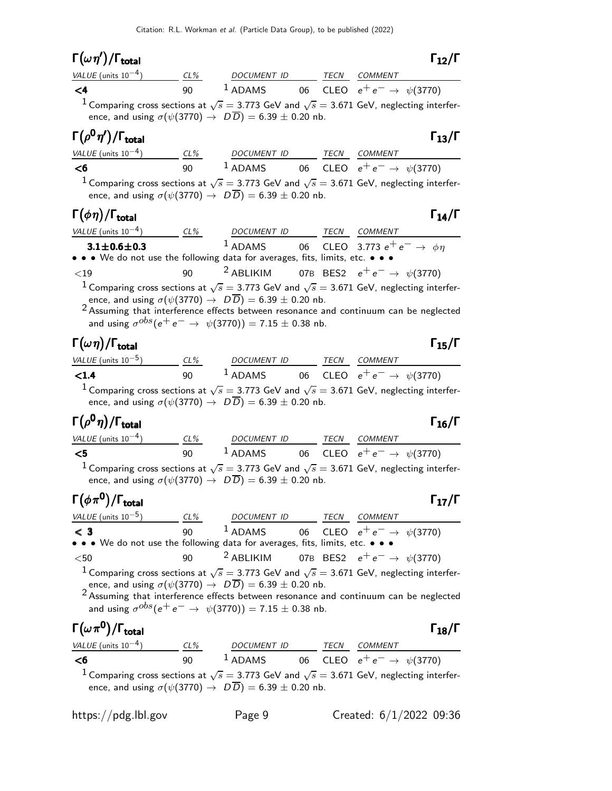## Γ $(\omega \eta')/$ Γ<sub>total</sub> Γ<sub>12</sub>/Γ

| VALUE (units $10^{-4}$ ) | $CL\%$ | DOCUMENT ID |  | <b>TECN COMMENT</b>                                                                                              |
|--------------------------|--------|-------------|--|------------------------------------------------------------------------------------------------------------------|
| $\leq 4$                 | ۹N     | $1$ ADAMS   |  | 06 CLEO $e^+e^- \to \psi(3770)$                                                                                  |
|                          |        |             |  | <sup>1</sup> Comparing cross sections at $\sqrt{s} = 3.773$ GeV and $\sqrt{s} = 3.671$ GeV, neglecting interfer- |

ence, and using  $\sigma(\psi(3770) \to D\overline{D}) = 6.39 \pm 0.20$  nb.

#### Γ $(\rho^{\bm{0}}\eta')/\Gamma_{\bm{\text{total}}}$ /Γ $_{\rm total}$ Γ

| VALUE (units $10^{-4}$ ) | $CL\%$ | DOCUMENT ID |  | <i>TECN COMMENT</i>                     |
|--------------------------|--------|-------------|--|-----------------------------------------|
| - <6                     | 90.    | $1$ ADAMS   |  | 06 CLEO $e^+e^- \rightarrow \psi(3770)$ |
| $\overline{1}$           |        |             |  |                                         |

 $^1$  Comparing cross sections at  $\sqrt{s}=$  3.773 GeV and  $\sqrt{s}=$  3.671 GeV, neglecting interference, and using  $\sigma(\psi(3770) \to D\overline{D}) = 6.39 \pm 0.20$  nb.

## $\Gamma(\phi \eta)/\Gamma_{\text{total}}$  Γ<sub>14</sub>/Γ

| VALUE (units $10^{-4}$ )                                                      | $CL\%$ | <i>DOCUMENT ID</i> | TECN | COMMENT                                                                                                          |
|-------------------------------------------------------------------------------|--------|--------------------|------|------------------------------------------------------------------------------------------------------------------|
| $3.1 \pm 0.6 \pm 0.3$                                                         |        |                    |      | <sup>1</sup> ADAMS 06 CLEO 3.773 $e^+e^- \rightarrow \phi \eta$                                                  |
| • • • We do not use the following data for averages, fits, limits, etc. • • • |        |                    |      |                                                                                                                  |
| ${<}19$                                                                       |        |                    |      | 90 <sup>2</sup> ABLIKIM 07B BES2 $e^+e^- \rightarrow \psi(3770)$                                                 |
|                                                                               |        |                    |      | <sup>1</sup> Comparing cross sections at $\sqrt{s}$ = 3.773 GeV and $\sqrt{s}$ = 3.671 GeV, neglecting interfer- |

ence, and using  $\sigma(\psi(3770) \to D\overline{D}) = 6.39 \pm 0.20$  nb. 2 Assuming that interference effects between resonance and continuum can be neglected and using  $\sigma^{obs}(\mathrm{e^+ e^-} \rightarrow \psi(3770)) = 7.15 \pm 0.38$  nb.

### $\Gamma(\omega \, \eta)/\Gamma_{\rm total}$  Γ<sub>15</sub>/Γ

| VALUE (units $10^{-5}$ )                                                   | CL% | <b>DOCUMENT ID</b> | TECN | <i>COMMENT</i>                                                                                                   |
|----------------------------------------------------------------------------|-----|--------------------|------|------------------------------------------------------------------------------------------------------------------|
| $\langle 1.4$                                                              | ۹O  | $1$ ADAMS          |      | 06 CLEO $e^+e^- \to \psi(3770)$                                                                                  |
| ence, and using $\sigma(\psi(3770) \to D\overline{D}) = 6.39 \pm 0.20$ nb. |     |                    |      | <sup>1</sup> Comparing cross sections at $\sqrt{s}$ = 3.773 GeV and $\sqrt{s}$ = 3.671 GeV, neglecting interfer- |

# Γ $(\rho^0 \eta)/\Gamma_{\text{total}}$  Γ $_{16}/\Gamma$

 $\Gamma_{12}/\Gamma$ 

| <i>VALUE</i> (units $10^{-4}$ ) | $CL\%$ | DOCUMENT ID | TECN | COMMENT                                                                                                          |
|---------------------------------|--------|-------------|------|------------------------------------------------------------------------------------------------------------------|
| - <5                            | ۹N     | $1$ ADAMS   |      | 06 CLEO $e^+e^- \to \psi(3770)$                                                                                  |
|                                 |        |             |      | <sup>1</sup> Comparing cross sections at $\sqrt{s}$ = 3.773 GeV and $\sqrt{s}$ = 3.671 GeV, neglecting interfer- |

ence, and using  $\sigma(\psi(3770) \to D\overline{D}) = 6.39 \pm 0.20$  nb.

Γ $(\phi \, \pi^{\bm{0}})/\Gamma_{\bm{\text{total}}}$  Γ $_{17}/\Gamma$ VALUE (units 10<sup>-5</sup>) CL% DOCUMENT ID TECN COMMENT

#### $\texttt{< 3}$  90  $\texttt{}^{1}$  ADAMS 06 CLEO  $e^+e^- \rightarrow \psi(3770)$ • • • We do not use the following data for averages, fits, limits, etc. • • •  $\leq 50$  90 <sup>2</sup> ABLIKIM 07B BES2  $e^+e^ <$ 50 90  $<sup>2</sup>$  ABLIKIM 07B BES2  $e<sup>+</sup>e<sup>-</sup>$  →  $\psi$ (3770)</sup>

 $^1$  Comparing cross sections at  $\sqrt{s}=$  3.773 GeV and  $\sqrt{s}=$  3.671 GeV, neglecting interfer-

ence, and using  $\sigma(\psi(3770) \to D\overline{D}) = 6.39 \pm 0.20$  nb.

2 Assuming that interference effects between resonance and continuum can be neglected and using  $\sigma^{obs}(\mathrm{e^+ e^-} \rightarrow \psi(3770)) = 7.15 \pm 0.38$  nb.

| $\Gamma(\omega\pi^0)/\Gamma_{\rm total}$ |        |                    |      | $\Gamma_{18}/\Gamma$                                                                                             |
|------------------------------------------|--------|--------------------|------|------------------------------------------------------------------------------------------------------------------|
| <i>VALUE</i> (units $10^{-4}$ )          | $CL\%$ | <b>DOCUMENT ID</b> | TECN | COMMENT                                                                                                          |
| - 6                                      | 90.    | $1$ ADAMS          |      | 06 CLEO $e^+e^- \to \psi(3770)$                                                                                  |
| $(1/2770)$ $(70)$ $(220)$ $(220)$        |        |                    |      | <sup>1</sup> Comparing cross sections at $\sqrt{s}$ = 3.773 GeV and $\sqrt{s}$ = 3.671 GeV, neglecting interfer- |

ence, and using  $\sigma(\psi(3770) \rightarrow DD) = 6.39 \pm 0.20$  nb.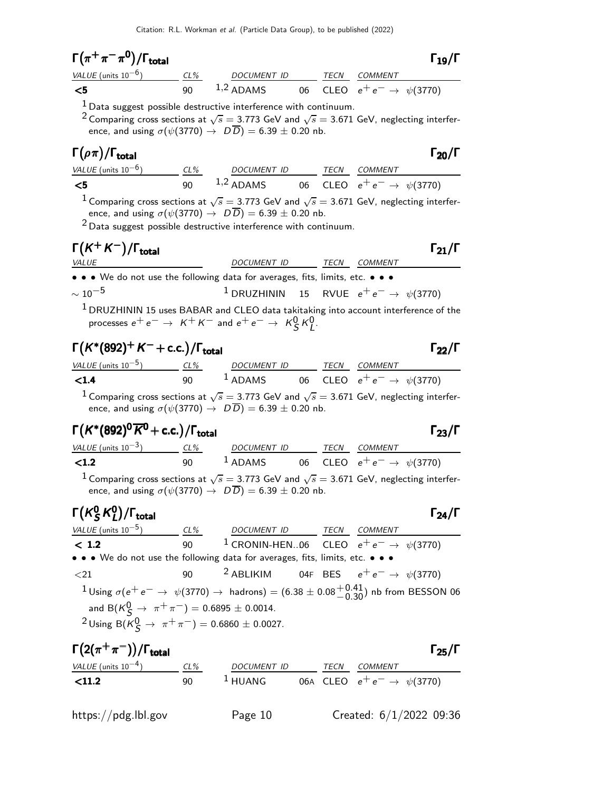| $\Gamma\big(\pi^+\pi^-\pi^{\mathsf{0}}\big)/\Gamma_{\textsf{total}}$ | $\Gamma_{19}/\Gamma$ |
|----------------------------------------------------------------------|----------------------|
|                                                                      |                      |

| $\mathbf{I}$ ( $\pi$ $\pi$ $\pi$ )/I total |        |             |  |                                 | 119/1 |
|--------------------------------------------|--------|-------------|--|---------------------------------|-------|
| VALUE (units $10^{-6}$ )                   | $CL\%$ | DOCUMENT ID |  | <i>TECN COMMENT</i>             |       |
| - <5                                       | ۹N     | $1,2$ ADAMS |  | 06 CLEO $e^+e^- \to \psi(3770)$ |       |

 $<sup>1</sup>$  Data suggest possible destructive interference with continuum.</sup>

<sup>2</sup> Comparing cross sections at  $\sqrt{s} = 3.773$  GeV and  $\sqrt{s} = 3.671$  GeV, neglecting interference, and using  $\sigma(\psi(3770) \to D\overline{D}) = 6.39 \pm 0.20$  nb.

#### Γ $(\rho \pi)/\Gamma_{\text{total}}$  Γ $_{20}/\Gamma$ total and the contract of the contract of the contract of the contract of the contract of the contract of the contract of the contract of the contract of the contract of the contract of the contract of the contract of the

| <i>VALUE</i> (units $10^{-6}$ ) | $CL\%$ | DOCUMENT ID |  | <i>TECN COMMENT</i>                     |
|---------------------------------|--------|-------------|--|-----------------------------------------|
| — <5                            | 90     | $1,2$ ADAMS |  | 06 CLEO $e^+e^- \rightarrow \psi(3770)$ |

 $^1$  Comparing cross sections at  $\sqrt{s}=$  3.773 GeV and  $\sqrt{s}=$  3.671 GeV, neglecting interference, and using  $\sigma(\psi(3770) \to D\overline{D}) = 6.39 \pm 0.20$  nb.

 $2$  Data suggest possible destructive interference with continuum.

# $\Gamma(K^+K^-)/\Gamma_{\text{total}}$  Γ<sub>21</sub>/Γ

VALUE  $\overline{D}$  DOCUMENT ID TECN COMMENT • • • We do not use the following data for averages, fits, limits, etc. • • •  $\sim 10^{-5}$  1 DRUZHININ 15 RVUE  $e^+e^- \rightarrow \psi(3770)$ 

<sup>1</sup> DRUZHININ 15 uses BABAR and CLEO data takitaking into account interference of the processes  $e^+e^- \rightarrow K^+K^-$  and  $e^+e^- \rightarrow K^0_S K^0_L$ .

#### $\Gamma(K^*(892)^+ K^- + \text{c.c.})/\Gamma_{\text{total}}$  Γ<sub>22</sub>/Γ /Γ $_{\rm total}$ Γ $_{\rm 22}/$ Γ

| <i>VALUE</i> (units $10^{-5}$ ) | CL% | <i>DOCUMENT ID</i> |  | TECN COMMENT                                           |
|---------------------------------|-----|--------------------|--|--------------------------------------------------------|
| < 1.4                           | 90. | $1$ ADAMS          |  | 06 $\textsf{CLEO} \ \ e^+e^- \rightarrow \ \psi(3770)$ |
|                                 |     |                    |  |                                                        |

 $^1$  Comparing cross sections at  $\sqrt{s}=$  3.773 GeV and  $\sqrt{s}=$  3.671 GeV, neglecting interference, and using  $\sigma(\psi(3770) \to D\overline{D}) = 6.39 \pm 0.20$  nb.

# Γ $(K^*(892)^0\overline{K}^0$  + c.c.)/Γ<sub>total</sub> Γ<sub>23</sub>/Γ

| VALUE (units $10^{-3}$ ) | $CL\%$ | DOCUMENT ID | TECN | COMMENT                                                                                                          |
|--------------------------|--------|-------------|------|------------------------------------------------------------------------------------------------------------------|
| $\langle 1.2 \rangle$    | 90.    | $1$ ADAMS   |      | 06 CLEO $e^+e^- \to \psi(3770)$                                                                                  |
|                          |        |             |      | <sup>1</sup> Comparing cross sections at $\sqrt{s} = 3.773$ GeV and $\sqrt{s} = 3.671$ GeV, neglecting interfer- |

ence, and using  $\sigma(\psi(3770) \to D\overline{D}) = 6.39 \pm 0.20$  nb.

#### $\mathsf{\Gamma}(\mathsf{K}^0_\mathsf{S})$  $^0_S$ K $^0_L$  $\Gamma(K_S^0 K_L^0)/\Gamma_{\text{total}}$  Γ<sub>24</sub>/Γ /Γ<sub>total</sub> Γ<sub>24</sub>/Γ

### $VALUE$  (units 10<sup>-5</sup>) CL% DOCUMENT ID TECN COMMENT  $\t**1.2**$  90 <sup>1</sup> CRONIN-HEN..06 CLEO  $e^+e^-$  →  $\psi(3770)$ • • • We do not use the following data for averages, fits, limits, etc. • • •  $\langle 21$  90  $\frac{2}{9}$  ABLIKIM 04F BES  $e^+e^-$  →  $\psi(3770)$  $1$  Using  $\sigma(e^+e^-$  →  $\psi(3770)$  → hadrons) = (6.38 ± 0.08 $^{+0.41}_{-0.30}$ ) nb from BESSON 06 and B $(K^0_S \rightarrow \pi^+ \pi^-) = 0.6895 \pm 0.0014$ .  $2$ Using B(K $^{0}$ G) → π<sup>+</sup>π<sup>-</sup>) = 0.6860 ± 0.0027.

| $\Gamma(2(\pi^+\pi^-))/\Gamma_{\rm total}$ |        |                     |             |                                  | $\Gamma_{25}/\Gamma$ |
|--------------------------------------------|--------|---------------------|-------------|----------------------------------|----------------------|
| VALUE (units $10^{-4}$ )                   | $CL\%$ | DOCUMENT ID         | <b>TECN</b> | COMMENT                          |                      |
| $<$ 11.2                                   | 90     | $\frac{1}{2}$ HUANG |             | 06A CLEO $e^+e^- \to \psi(3770)$ |                      |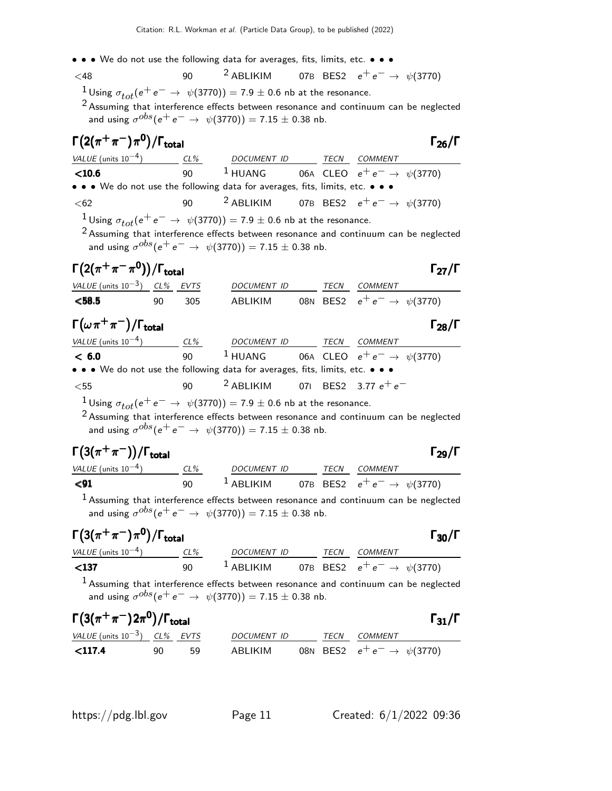$<$ 48 90  $<sup>2</sup>$  ABLIKIM 07B BES2  $e<sup>+</sup>e<sup>−</sup>$  →  $\psi$ (3770)</sup> <sup>1</sup> Using  $\sigma_{tot}(e^+e^- \rightarrow \psi(3770)) = 7.9 \pm 0.6$  nb at the resonance.

<sup>2</sup> Assuming that interference effects between resonance and continuum can be neglected and using  $\sigma^{obs}(\mathrm{e^+ e^-} \rightarrow \psi(3770)) = 7.15 \pm 0.38$  nb.

| $\Gamma\big(2(\pi^+\pi^-)\pi^0\big)/\Gamma_{\rm total}$ |    |     |                                                                                                                                                                                                                                                           |          |                                          | Г $_{26}/\Gamma$     |
|---------------------------------------------------------|----|-----|-----------------------------------------------------------------------------------------------------------------------------------------------------------------------------------------------------------------------------------------------------------|----------|------------------------------------------|----------------------|
| VALUE (units $10^{-4}$ )                                |    |     | CL% DOCUMENT ID                                                                                                                                                                                                                                           |          | TECN COMMENT                             |                      |
| $<$ 10.6                                                |    | 90  | $1$ HUANG                                                                                                                                                                                                                                                 |          | 06A CLEO $e^+e^- \to \psi(3770)$         |                      |
|                                                         |    |     | • • • We do not use the following data for averages, fits, limits, etc. •                                                                                                                                                                                 |          |                                          |                      |
| $62$                                                    |    | 90  | <sup>2</sup> ABLIKIM                                                                                                                                                                                                                                      |          | 07B BES2 $e^+e^- \rightarrow \psi(3770)$ |                      |
|                                                         |    |     | $1$ Using $\sigma_{tot}(e^+e^-\rightarrow~\psi(3770)) = 7.9\pm0.6$ nb at the resonance.                                                                                                                                                                   |          |                                          |                      |
|                                                         |    |     | $2$ Assuming that interference effects between resonance and continuum can be neglected<br>and using $\sigma^{obs}(e^+e^- \to \psi(3770)) = 7.15 \pm 0.38$ nb.                                                                                            |          |                                          |                      |
| $\Gamma(2(\pi^+\pi^-\pi^0))/\Gamma_{\rm total}$         |    |     |                                                                                                                                                                                                                                                           |          |                                          | $\Gamma_{27}/\Gamma$ |
| VALUE (units $10^{-3}$ ) CL% EVTS                       |    |     | DOCUMENT ID                                                                                                                                                                                                                                               |          | TECN COMMENT                             |                      |
| < 58.5                                                  | 90 | 305 | ABLIKIM                                                                                                                                                                                                                                                   |          | 08N BES2 $e^+e^- \rightarrow \psi(3770)$ |                      |
| $\Gamma(\omega \pi^+\pi^-)/\Gamma_{\rm total}$          |    |     |                                                                                                                                                                                                                                                           |          |                                          | $\Gamma_{28}/\Gamma$ |
| $VALUE$ (units $10^{-4}$ ) CL%                          |    |     | DOCUMENT ID TECN COMMENT                                                                                                                                                                                                                                  |          |                                          |                      |
| < 6.0                                                   |    | 90  | <sup>1</sup> HUANG 06A CLEO $e^+e^- \rightarrow \psi(3770)$                                                                                                                                                                                               |          |                                          |                      |
|                                                         |    |     | • • • We do not use the following data for averages, fits, limits, etc. • • •                                                                                                                                                                             |          |                                          |                      |
| $<$ 55                                                  |    | 90  | <sup>2</sup> ABLIKIM                                                                                                                                                                                                                                      |          | 071 BES2 3.77 $e^+ \, e^-$               |                      |
|                                                         |    |     | $1$ Using $\sigma_{tot}(e^+e^-\rightarrow~\psi(3770)) = 7.9\pm0.6$ nb at the resonance.<br>$2$ Assuming that interference effects between resonance and continuum can be neglected<br>and using $\sigma^{obs}(e^+e^- \to \psi(3770)) = 7.15 \pm 0.38$ nb. |          |                                          |                      |
| $\Gamma(3(\pi^+\pi^-))/\Gamma_{\rm total}$              |    |     |                                                                                                                                                                                                                                                           |          |                                          | $\Gamma_{29}/\Gamma$ |
| VALUE (units $10^{-4}$ ) CL%                            |    |     | DOCUMENT ID TECN COMMENT                                                                                                                                                                                                                                  |          |                                          |                      |
| $91$                                                    |    | 90  | $1$ ABLIKIM                                                                                                                                                                                                                                               |          | 07B BES2 $e^+e^- \to \psi(3770)$         |                      |
|                                                         |    |     | $1$ Assuming that interference effects between resonance and continuum can be neglected<br>and using $\sigma^{obs}(e^+e^- \to \psi(3770)) = 7.15 \pm 0.38$ nb.                                                                                            |          |                                          |                      |
| $\Gamma(3(\pi^+\pi^-)\pi^0)/\Gamma_{\rm total}$         |    |     |                                                                                                                                                                                                                                                           |          |                                          | $\Gamma_{30}/\Gamma$ |
| VALUE (units $10^{-4}$ ) CL%                            |    |     | DOCUMENT ID TECN COMMENT                                                                                                                                                                                                                                  |          |                                          |                      |
| $137$                                                   |    | 90  | <sup>1</sup> ABLIKIM 07B BES2 $e^+e^- \rightarrow \psi(3770)$                                                                                                                                                                                             |          |                                          |                      |
|                                                         |    |     | $1$ Assuming that interference effects between resonance and continuum can be neglected<br>and using $\sigma^{obs}(e^+e^- \to \psi(3770)) = 7.15 \pm 0.38$ nb.                                                                                            |          |                                          |                      |
| $\Gamma(3(\pi^+\pi^-)2\pi^0)/\Gamma_{\rm total}$        |    |     |                                                                                                                                                                                                                                                           |          |                                          | $\Gamma_{31}/\Gamma$ |
| VALUE (units $10^{-3}$ ) CL% EVTS                       |    |     | DOCUMENT ID                                                                                                                                                                                                                                               | TECN     | COMMENT                                  |                      |
| $<$ 117.4                                               | 90 | 59  | ABLIKIM                                                                                                                                                                                                                                                   | 08N BES2 | $e^+e^- \to \psi(3770)$                  |                      |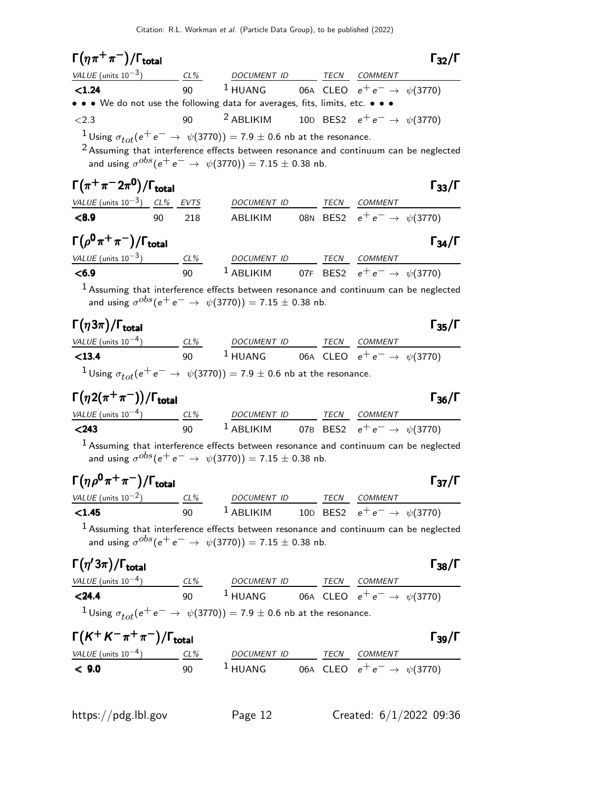| $\Gamma(\eta\pi^+\pi^-)/\Gamma_{\rm total}$          |           |                                                                                                                                                                                                                                                           |  |                                          | $\Gamma_{32}/\Gamma$ |
|------------------------------------------------------|-----------|-----------------------------------------------------------------------------------------------------------------------------------------------------------------------------------------------------------------------------------------------------------|--|------------------------------------------|----------------------|
|                                                      |           | $VALUE$ (units $10^{-3}$ ) CL% DOCUMENT ID TECN COMMENT                                                                                                                                                                                                   |  |                                          |                      |
| < 1.24                                               | 90        | <sup>1</sup> HUANG 06A CLEO $e^+e^- \rightarrow \psi(3770)$                                                                                                                                                                                               |  |                                          |                      |
|                                                      |           | • • • We do not use the following data for averages, fits, limits, etc. • • •                                                                                                                                                                             |  |                                          |                      |
| ${<}2.3$                                             | 90        | <sup>2</sup> ABLIKIM 10D BES2 $e^+e^- \rightarrow \psi(3770)$                                                                                                                                                                                             |  |                                          |                      |
|                                                      |           | $1$ Using $\sigma_{tot}(e^+e^-\rightarrow~\psi(3770)) = 7.9\pm0.6$ nb at the resonance.<br>$2$ Assuming that interference effects between resonance and continuum can be neglected<br>and using $\sigma^{obs}(e^+e^- \to \psi(3770)) = 7.15 \pm 0.38$ nb. |  |                                          |                      |
| $\Gamma(\pi^+\pi^-2\pi^0)/\Gamma_{\rm total}$        |           |                                                                                                                                                                                                                                                           |  |                                          | $\Gamma_{33}/\Gamma$ |
| <u>VALUE (units <math>10^{-3}</math>) CL% EVTS</u>   |           | DOCU <u>MENT ID TECN COMMENT</u>                                                                                                                                                                                                                          |  |                                          |                      |
| < 8.9                                                | 90<br>218 | ABLIKIM                                                                                                                                                                                                                                                   |  | 08N BES2 $e^+e^- \rightarrow \psi(3770)$ |                      |
| $\Gamma(\rho^0\pi^+\pi^-)/\Gamma_{\rm total}$        |           |                                                                                                                                                                                                                                                           |  |                                          | $\Gamma_{34}/\Gamma$ |
|                                                      |           | $VALUE$ (units $10^{-3}$ ) $CL\%$ DOCUMENT ID TECN COMMENT                                                                                                                                                                                                |  |                                          |                      |
| < 6.9                                                |           | 90 <sup>1</sup> ABLIKIM 07F BES2 $e^+e^- \to \psi(3770)$                                                                                                                                                                                                  |  |                                          |                      |
|                                                      |           | $1$ Assuming that interference effects between resonance and continuum can be neglected<br>and using $\sigma^{obs}(e^+e^- \to \psi(3770)) = 7.15 \pm 0.38$ nb.                                                                                            |  |                                          |                      |
| $\Gamma(\eta 3\pi)/\Gamma_{\rm total}$               |           |                                                                                                                                                                                                                                                           |  |                                          | $\Gamma_{35}/\Gamma$ |
|                                                      |           | $VALUE$ (units $10^{-4}$ ) $CL\%$ DOCUMENT ID TECN COMMENT                                                                                                                                                                                                |  |                                          |                      |
| $13.4$                                               |           | 90 <sup>1</sup> HUANG 06A CLEO $e^+e^- \rightarrow \psi(3770)$                                                                                                                                                                                            |  |                                          |                      |
|                                                      |           | <sup>1</sup> Using $\sigma_{tot}(e^+e^- \rightarrow \psi(3770)) = 7.9 \pm 0.6$ nb at the resonance.                                                                                                                                                       |  |                                          |                      |
| $\Gamma(\eta 2(\pi^+\pi^-))/\Gamma_{\rm total}$      |           |                                                                                                                                                                                                                                                           |  |                                          | $\Gamma_{36}/\Gamma$ |
|                                                      |           | $VALUE$ (units $10^{-4}$ ) $CL\%$ DOCUMENT ID TECN COMMENT                                                                                                                                                                                                |  |                                          |                      |
| < 243                                                |           | 90 <sup>1</sup> ABLIKIM 07B BES2 $e^+e^- \rightarrow \psi(3770)$                                                                                                                                                                                          |  |                                          |                      |
|                                                      |           | <sup>1</sup> Assuming that interference effects between resonance and continuum can be neglected<br>and using $\sigma^{obs}(e^+e^- \to \psi(3770)) = 7.15 \pm 0.38$ nb.                                                                                   |  |                                          |                      |
| $\Gamma(\eta \rho^0 \pi^+ \pi^-)/\Gamma_{\rm total}$ |           |                                                                                                                                                                                                                                                           |  |                                          | $\Gamma_{37}/\Gamma$ |
|                                                      |           |                                                                                                                                                                                                                                                           |  |                                          |                      |
|                                                      |           | $\frac{VALUE \text{ (units 10}^{-2})}{VALUE \text{ (units 10}^{-2})}$ $\frac{CL\%}{90}$ $\frac{DOCUMENT \text{ ID}}{ABLIKIM}$ $\frac{TECN}{10D}$ $\frac{CEN}{ESS}$ $\frac{COMMENT}{e^+e^-}$ $\rightarrow \psi(3770)$                                      |  |                                          |                      |
|                                                      |           | <sup>1</sup> Assuming that interference effects between resonance and continuum can be neglected<br>and using $\sigma^{obs}(e^+e^- \to \psi(3770)) = 7.15 \pm 0.38$ nb.                                                                                   |  |                                          |                      |
| $\Gamma(\eta'3\pi)/\Gamma_{\rm total}$               |           |                                                                                                                                                                                                                                                           |  |                                          | $\Gamma_{38}/\Gamma$ |
|                                                      |           |                                                                                                                                                                                                                                                           |  |                                          |                      |
|                                                      |           | $\frac{VALUE \text{ (units 10}^{-4})}{24.4}$ $\frac{CL\%}{90}$ $\frac{DOCUMENT \text{ ID}}{1 \text{ HUANG}}$ $\frac{TECN}{CLEO}$ $\frac{COMMENT}{e^+e^-}$ $\frac{COMMENT}{\psi(3770)}$                                                                    |  |                                          |                      |
|                                                      |           | <sup>1</sup> Using $\sigma_{tot}(e^+e^- \rightarrow \psi(3770)) = 7.9 \pm 0.6$ nb at the resonance.                                                                                                                                                       |  |                                          |                      |
| $\Gamma(K^+K^-\pi^+\pi^-)/\Gamma_{\rm total}$        |           |                                                                                                                                                                                                                                                           |  |                                          | $\Gamma_{39}/\Gamma$ |
|                                                      |           | $\frac{VALUE \text{ (units 10}^{-4})}{C}$ $\frac{CL\%}{90}$ $\frac{DOCUMENT \text{ ID}}{1 \text{ HUANG}}$ $\frac{TECN}{CLEO}$ $\frac{COMMENT}{e^+e^-}$ $\frac{COMMENT}{\psi(3770)}$                                                                       |  |                                          |                      |
|                                                      |           |                                                                                                                                                                                                                                                           |  |                                          |                      |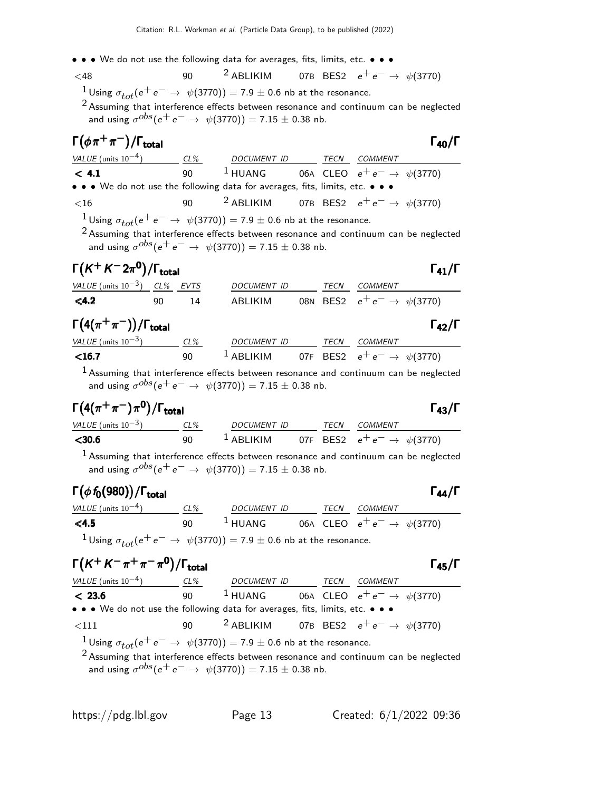$<$ 48 90  $<sup>2</sup>$  ABLIKIM 07B BES2  $e<sup>+</sup>e<sup>−</sup>$  →  $\psi$ (3770)</sup> <sup>1</sup>Using  $\sigma_{tot}(e^+e^- \rightarrow \psi(3770)) = 7.9 \pm 0.6$  nb at the resonance.

<sup>2</sup> Assuming that interference effects between resonance and continuum can be neglected and using  $\sigma^{obs}(\mathrm{e^+ e^-} \rightarrow \psi(3770)) = 7.15 \pm 0.38$  nb.

#### $\Gamma(\phi \pi^+ \pi^-)/\Gamma_{\rm total}$  Γ<sub>40</sub>/Γ /Γ<sub>total</sub>Γατοποιείας/Γ

| VALUE (units $10^{-4}$ )                                                                                                                                                   | $CL\%$ | DOCUMENT ID | TECN | <i>COMMENT</i>                                                                          |
|----------------------------------------------------------------------------------------------------------------------------------------------------------------------------|--------|-------------|------|-----------------------------------------------------------------------------------------|
| < 4.1                                                                                                                                                                      | 90     |             |      | <sup>1</sup> HUANG 06A CLEO $e^+e^- \rightarrow \psi(3770)$                             |
| • • • We do not use the following data for averages, fits, limits, etc. • • •                                                                                              |        |             |      |                                                                                         |
| $\leq 16$                                                                                                                                                                  | 90     |             |      | <sup>2</sup> ABLIKIM 07B BES2 $e^+e^- \rightarrow \psi(3770)$                           |
| <sup>1</sup> Using $\sigma_{tot}(e^+e^- \rightarrow \psi(3770)) = 7.9 \pm 0.6$ nb at the resonance.<br>and using $\sigma^{obs}(e^+e^- \to \psi(3770)) = 7.15 \pm 0.38$ nb. |        |             |      | $2$ Assuming that interference effects between resonance and continuum can be neglected |

| $\Gamma(K^+K^-2\pi^0)/\Gamma_{\rm total}$ |     |    |             |  |                                          | $\Gamma_{41}/\Gamma$ |
|-------------------------------------------|-----|----|-------------|--|------------------------------------------|----------------------|
| VALUE (units $10^{-3}$ ) CL% EVTS         |     |    | DOCUMENT ID |  | TECN COMMENT                             |                      |
| $<$ 4.2                                   | 90. | 14 | ABI IKIM    |  | 08N BES2 $e^+e^- \rightarrow \psi(3770)$ |                      |

| $\Gamma\bigl(4(\pi^+\pi^-)\bigr)/\Gamma_{\rm total}$ |        |             |      | $\Gamma_{42}/\Gamma$             |
|------------------------------------------------------|--------|-------------|------|----------------------------------|
| VALUE (units $10^{-3}$ )                             | $CL\%$ | DOCUMENT ID | TECN | COMMENT                          |
| $<$ 16.7                                             | 90     | $L$ ABLIKIM |      | 07F BES2 $e^+e^- \to \psi(3770)$ |

 $<sup>1</sup>$  Assuming that interference effects between resonance and continuum can be neglected</sup> and using  $\sigma^{obs}(\mathrm{e^+ e^-} \rightarrow \psi(3770)) = 7.15 \pm 0.38$  nb.

# $\Gamma(4(\pi^+\pi^-)\pi^0)/\Gamma_{\rm total}$

|                                 |        |             |  |                                                               | . |
|---------------------------------|--------|-------------|--|---------------------------------------------------------------|---|
| <i>VALUE</i> (units $10^{-3}$ ) | $CL\%$ | DOCUMENT ID |  | <i>TECN COMMENT</i>                                           |   |
| $<$ 30.6                        | 90 L   |             |  | <sup>1</sup> ABLIKIM 07F BES2 $e^+e^- \rightarrow \psi(3770)$ |   |

 $<sup>1</sup>$  Assuming that interference effects between resonance and continuum can be neglected</sup> and using  $\sigma^{obs}(\mathrm{e^+ e^-} \rightarrow \psi(3770)) = 7.15 \pm 0.38$  nb.

### Γ $(\phi f_0(980))/\Gamma_{\text{total}}$  Γ $_{44}/\Gamma$

VALUE (units 10<sup>-4</sup>) CL% DOCUMENT ID TECN COMMENT **<4.5** 90 <sup>1</sup> HUANG 06A CLEO  $e^+e^- \to \psi(3770)$ <sup>1</sup> Using  $\sigma_{tot}(e^+e^- \rightarrow \psi(3770)) = 7.9 \pm 0.6$  nb at the resonance.

| $\Gamma(K^+K^-\pi^+\pi^-\pi^0)/\Gamma_{\text{total}}$                                                                                                               | $\Gamma_{45}/\Gamma$ |                                       |                    |                                                 |
|---------------------------------------------------------------------------------------------------------------------------------------------------------------------|----------------------|---------------------------------------|--------------------|-------------------------------------------------|
| $\frac{VALUE \text{ (units 10}^{-4})}{4}$                                                                                                                           | $\frac{CL\%}{90}$    | $\frac{DOCUMENT ID}{1 \text{ HUANG}}$ | $\frac{TECN}{06A}$ | $\frac{COMMENT}{e^+e^-} \rightarrow \psi(3770)$ |
| $\bullet \bullet \bullet \text{ We do not use the following data for averages, fits, limits, etc. \bullet \bullet \bullet$                                          |                      |                                       |                    |                                                 |
| $\times$ 111                                                                                                                                                        | $90$                 | $2$ ABLIKIM                           | $07B$ BES2         | $e^+e^- \rightarrow \psi(3770)$                 |
| $1$ Using $\sigma_{tot}(e^+e^- \rightarrow \psi(3770)) = 7.9 \pm 0.6$ nb at the resonance.                                                                          |                      |                                       |                    |                                                 |
| $2$ Assuming that interference effects between resonance and continuum can be neglected and using $\sigma^{obs}(e^+e^- \rightarrow \psi(3770)) = 7.15 \pm 0.38$ nb. |                      |                                       |                    |                                                 |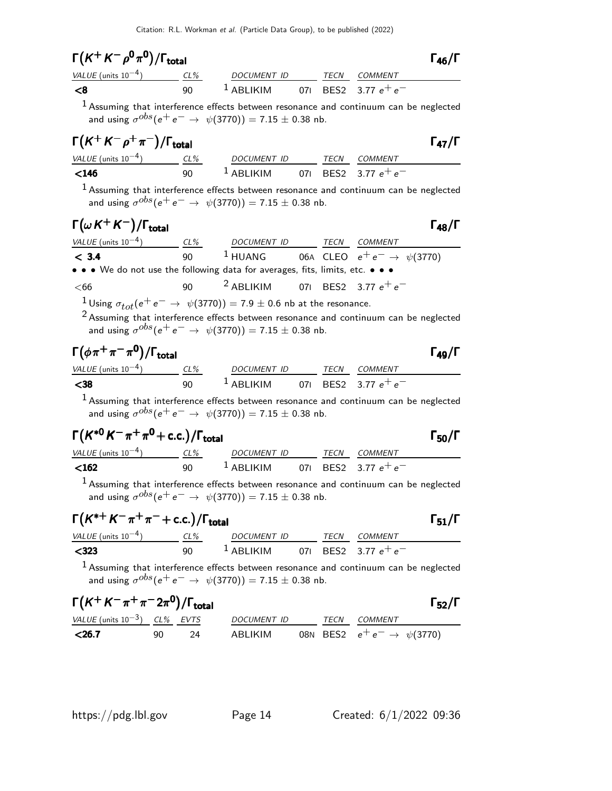| $\Gamma(K^+K^-\rho^0\pi^0)/\Gamma_{\rm total}$                                                                                                                                                                                                                  |    |                                                                     |  | $\Gamma_{46}/\Gamma$ |
|-----------------------------------------------------------------------------------------------------------------------------------------------------------------------------------------------------------------------------------------------------------------|----|---------------------------------------------------------------------|--|----------------------|
| $\frac{\text{VALU E (units 10}^{-4})}{\text{C1}} \qquad \frac{\text{CL\%}}{90} \qquad \frac{\text{DOCUMENT ID}}{1 \text{ ABLIKIM}} \qquad \frac{\text{TECN}}{071} \qquad \frac{\text{CDMMENT}}{BFS2} \qquad \frac{\text{COMMENT}}{3.77 \text{ A}^+ \text{A}^-}$ |    |                                                                     |  |                      |
| $\leq 8$                                                                                                                                                                                                                                                        |    |                                                                     |  |                      |
| $1$ Assuming that interference effects between resonance and continuum can be neglected                                                                                                                                                                         |    | and using $\sigma^{obs}(e^+e^- \to \psi(3770)) = 7.15 \pm 0.38$ nb. |  |                      |
| $\Gamma(K^+K^-\rho^+\pi^-)/\Gamma_{\rm total}$                                                                                                                                                                                                                  |    |                                                                     |  | $\Gamma_{47}/\Gamma$ |
| $\frac{VALUE \text{ (units 10}^{-4})}{\text{ 40}} \qquad \frac{CL\%}{90} \qquad \frac{DOCUMENT \text{ ID}}{ABLIKIM} \qquad \frac{TECN}{BES2} \qquad \frac{COMMENT}{3.77 \text{ e}^+ \text{ e}^-}$                                                               |    |                                                                     |  |                      |
|                                                                                                                                                                                                                                                                 |    |                                                                     |  |                      |
| $1$ Assuming that interference effects between resonance and continuum can be neglected                                                                                                                                                                         |    | and using $\sigma^{obs}(e^+e^- \to \psi(3770)) = 7.15 \pm 0.38$ nb. |  |                      |
| $\Gamma(\omega K^+ K^-)/\Gamma_{\rm total}$                                                                                                                                                                                                                     |    |                                                                     |  | $\Gamma_{48}/\Gamma$ |
| $\frac{VALUE \text{ (units 10}^{-4})}{C} \frac{CL\%}{90}$ $\frac{DCUMENT \text{ ID}}{1 \text{ HUANG}}$ TECN COMMENT<br>CLEO $e^+e^- \rightarrow \psi(3770)$                                                                                                     |    |                                                                     |  |                      |
|                                                                                                                                                                                                                                                                 |    |                                                                     |  |                      |
| • • • We do not use the following data for averages, fits, limits, etc. • • •                                                                                                                                                                                   |    |                                                                     |  |                      |
| $66$                                                                                                                                                                                                                                                            | 90 | $^2$ ABLIKIM 071 BES2 3.77 $e^+e^-$                                 |  |                      |
| $1$ Using $\sigma_{tot}(e^+e^-\rightarrow \psi(3770)) = 7.9\pm0.6$ nb at the resonance.<br>$2$ Assuming that interference effects between resonance and continuum can be neglected                                                                              |    | and using $\sigma^{obs}(e^+e^- \to \psi(3770)) = 7.15 \pm 0.38$ nb. |  |                      |
| $\Gamma(\phi\pi^+\pi^-\pi^0)/\Gamma_{\rm total}$                                                                                                                                                                                                                |    |                                                                     |  | $\Gamma_{49}/\Gamma$ |
| $\frac{VALUE \text{ (units 10}^{-4})}{VALUE \text{ (units 10}^{-4})}$ $\frac{CL\%}{90}$ $\frac{DOCUMENT ID}{1 \text{ ABLIKIM}}$ $\frac{TECN}{071}$ $\frac{CDKIN}{BES2}$ $\frac{COMMENT}{3.77 e^+ e^-}$                                                          |    |                                                                     |  |                      |
|                                                                                                                                                                                                                                                                 |    |                                                                     |  |                      |
| $1$ Assuming that interference effects between resonance and continuum can be neglected                                                                                                                                                                         |    | and using $\sigma^{obs}(e^+e^- \to \psi(3770)) = 7.15 \pm 0.38$ nb. |  |                      |
| $\Gamma(K^{*0} K^- \pi^+ \pi^0 + c.c.)/\Gamma_{\text{total}}$                                                                                                                                                                                                   |    |                                                                     |  | $\Gamma_{50}/\Gamma$ |
| VALUE (units 10 <sup>-4</sup> ) CL% DOCUMENT ID TECN COMMENT<br><b>C162</b> 3.77 e <sup>+</sup> e <sup>-</sup>                                                                                                                                                  |    |                                                                     |  |                      |
|                                                                                                                                                                                                                                                                 |    |                                                                     |  |                      |
| $1$ Assuming that interference effects between resonance and continuum can be neglected                                                                                                                                                                         |    | and using $\sigma^{obs}(e^+e^- \to \psi(3770)) = 7.15 \pm 0.38$ nb. |  |                      |
| $\Gamma\bigl(K^{*+}K^-\pi^+\pi^-+{\rm c.c.}\bigr)/\Gamma_{\rm total}$                                                                                                                                                                                           |    |                                                                     |  | $\Gamma_{51}/\Gamma$ |
|                                                                                                                                                                                                                                                                 |    |                                                                     |  |                      |
| $\frac{VALUE \text{ (units 10}^{-4})}{500} \frac{CL\%}{90} \frac{DOCUMENT \text{ ID}}{1 \text{ ABLIKIM}} \frac{TECN}{071} \frac{COMMENT}{BES2} \frac{COMMENT}{3.77 \text{ e}^+ \text{ e}^-}$                                                                    |    |                                                                     |  |                      |
| $1$ Assuming that interference effects between resonance and continuum can be neglected                                                                                                                                                                         |    |                                                                     |  |                      |

and using  $\sigma^{obs}(\mathrm{e^+ e^-} \rightarrow \psi(3770)) = 7.15 \pm 0.38$  nb.

| $\Gamma(K^+ K^- \pi^+ \pi^- 2\pi^0)/\Gamma_{\rm total}$ |     |      |             |  |                                          | $\Gamma_{52}/\Gamma$ |
|---------------------------------------------------------|-----|------|-------------|--|------------------------------------------|----------------------|
| VALUE (units $10^{-3}$ ) CL% EVTS                       |     |      | DOCUMENT ID |  | TECN COMMENT                             |                      |
| $<$ 26.7                                                | 90. | - 24 | ABLIKIM     |  | 08N BES2 $e^+e^- \rightarrow \psi(3770)$ |                      |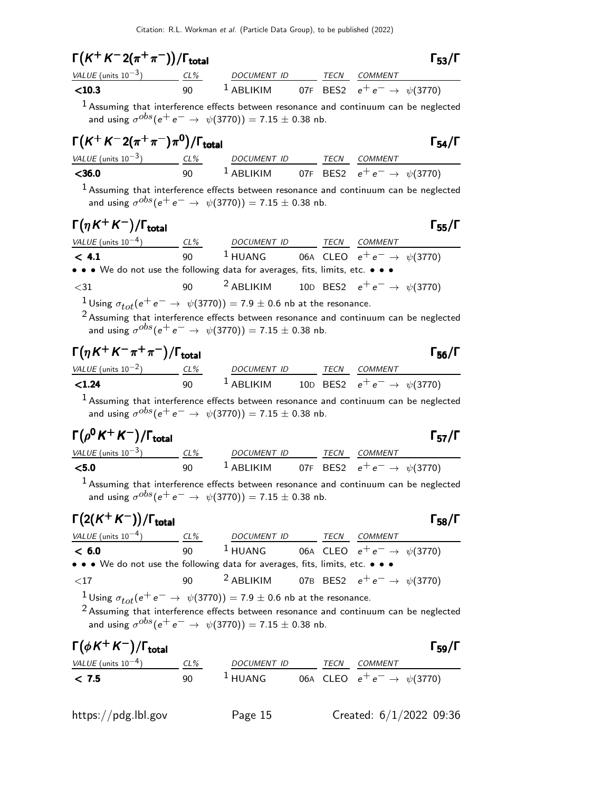|                                                                                                                                                                                                                                                                                                                                                                                                                                                                                                                                                                                                                                                                                                                                                                                                                                                                                                                                                                       | $\Gamma(K^+K^-2(\pi^+\pi^-))/\Gamma_{\rm total}$ |                                                                     |  |                      |
|-----------------------------------------------------------------------------------------------------------------------------------------------------------------------------------------------------------------------------------------------------------------------------------------------------------------------------------------------------------------------------------------------------------------------------------------------------------------------------------------------------------------------------------------------------------------------------------------------------------------------------------------------------------------------------------------------------------------------------------------------------------------------------------------------------------------------------------------------------------------------------------------------------------------------------------------------------------------------|--------------------------------------------------|---------------------------------------------------------------------|--|----------------------|
| $\frac{VALUE \text{ (units 10}^{-3})}{1}$ $\frac{CL\%}{90}$ $\frac{DOCUMENT ID}{1}$ $\frac{TECN}{BES2}$ $\frac{COMMENT}{e^+e^-}$ $\frac{\#10.3}{1}$                                                                                                                                                                                                                                                                                                                                                                                                                                                                                                                                                                                                                                                                                                                                                                                                                   |                                                  |                                                                     |  |                      |
| $1$ Assuming that interference effects between resonance and continuum can be neglected                                                                                                                                                                                                                                                                                                                                                                                                                                                                                                                                                                                                                                                                                                                                                                                                                                                                               |                                                  |                                                                     |  |                      |
| and using $\sigma^{obs}(e^+e^- \to \psi(3770)) = 7.15 \pm 0.38$ nb.                                                                                                                                                                                                                                                                                                                                                                                                                                                                                                                                                                                                                                                                                                                                                                                                                                                                                                   |                                                  |                                                                     |  |                      |
| $\Gamma(K^+K^-2(\pi^+\pi^-)\pi^0)/\Gamma_{\rm total}$                                                                                                                                                                                                                                                                                                                                                                                                                                                                                                                                                                                                                                                                                                                                                                                                                                                                                                                 |                                                  |                                                                     |  | $\Gamma_{54}/\Gamma$ |
|                                                                                                                                                                                                                                                                                                                                                                                                                                                                                                                                                                                                                                                                                                                                                                                                                                                                                                                                                                       |                                                  |                                                                     |  |                      |
| $\frac{VALUE \text{ (units 10}^{-3})}{VALUE \text{ (units 10}^{-3})}$ $\frac{CL\%}{90}$ $\frac{DOCUMENT ID}{1 ABLIKIM}$ $\frac{TECN}{07F}$ $\frac{COMMENT}{BES2}$ $e^+e^- \rightarrow \psi(3770)$                                                                                                                                                                                                                                                                                                                                                                                                                                                                                                                                                                                                                                                                                                                                                                     |                                                  |                                                                     |  |                      |
| $1$ Assuming that interference effects between resonance and continuum can be neglected                                                                                                                                                                                                                                                                                                                                                                                                                                                                                                                                                                                                                                                                                                                                                                                                                                                                               |                                                  |                                                                     |  |                      |
| and using $\sigma^{obs}(e^+e^- \to \psi(3770)) = 7.15 \pm 0.38$ nb.                                                                                                                                                                                                                                                                                                                                                                                                                                                                                                                                                                                                                                                                                                                                                                                                                                                                                                   |                                                  |                                                                     |  |                      |
| $\Gamma(\eta K^+ K^-)/\Gamma_{\rm total}$                                                                                                                                                                                                                                                                                                                                                                                                                                                                                                                                                                                                                                                                                                                                                                                                                                                                                                                             |                                                  |                                                                     |  |                      |
|                                                                                                                                                                                                                                                                                                                                                                                                                                                                                                                                                                                                                                                                                                                                                                                                                                                                                                                                                                       |                                                  |                                                                     |  | $\Gamma_{55}/\Gamma$ |
| $VALUE$ (units 10 <sup>-4</sup> ) CL% DOCUMENT ID TECN COMMENT<br>< 4.1                                                                                                                                                                                                                                                                                                                                                                                                                                                                                                                                                                                                                                                                                                                                                                                                                                                                                               |                                                  | 90 <sup>1</sup> HUANG 06A CLEO $e^+e^- \to \psi(3770)$              |  |                      |
| • • • We do not use the following data for averages, fits, limits, etc. • • •                                                                                                                                                                                                                                                                                                                                                                                                                                                                                                                                                                                                                                                                                                                                                                                                                                                                                         |                                                  |                                                                     |  |                      |
| $<$ 31                                                                                                                                                                                                                                                                                                                                                                                                                                                                                                                                                                                                                                                                                                                                                                                                                                                                                                                                                                | 90                                               | <sup>2</sup> ABLIKIM 10D BES2 $e^+e^- \rightarrow \psi(3770)$       |  |                      |
| $1$ Using $\sigma_{tot}(e^+e^-\rightarrow \psi(3770)) = 7.9\pm0.6$ nb at the resonance.                                                                                                                                                                                                                                                                                                                                                                                                                                                                                                                                                                                                                                                                                                                                                                                                                                                                               |                                                  |                                                                     |  |                      |
|                                                                                                                                                                                                                                                                                                                                                                                                                                                                                                                                                                                                                                                                                                                                                                                                                                                                                                                                                                       |                                                  | and using $\sigma^{obs}(e^+e^- \to \psi(3770)) = 7.15 \pm 0.38$ nb. |  |                      |
|                                                                                                                                                                                                                                                                                                                                                                                                                                                                                                                                                                                                                                                                                                                                                                                                                                                                                                                                                                       |                                                  |                                                                     |  |                      |
|                                                                                                                                                                                                                                                                                                                                                                                                                                                                                                                                                                                                                                                                                                                                                                                                                                                                                                                                                                       |                                                  |                                                                     |  | $\Gamma_{56}/\Gamma$ |
|                                                                                                                                                                                                                                                                                                                                                                                                                                                                                                                                                                                                                                                                                                                                                                                                                                                                                                                                                                       |                                                  |                                                                     |  |                      |
| <sup>1</sup> Assuming that interference effects between resonance and continuum can be neglected                                                                                                                                                                                                                                                                                                                                                                                                                                                                                                                                                                                                                                                                                                                                                                                                                                                                      |                                                  |                                                                     |  |                      |
| and using $\sigma^{obs}(e^+e^- \to \psi(3770)) = 7.15 \pm 0.38$ nb.                                                                                                                                                                                                                                                                                                                                                                                                                                                                                                                                                                                                                                                                                                                                                                                                                                                                                                   |                                                  |                                                                     |  |                      |
|                                                                                                                                                                                                                                                                                                                                                                                                                                                                                                                                                                                                                                                                                                                                                                                                                                                                                                                                                                       |                                                  |                                                                     |  | $\Gamma_{57}/\Gamma$ |
|                                                                                                                                                                                                                                                                                                                                                                                                                                                                                                                                                                                                                                                                                                                                                                                                                                                                                                                                                                       |                                                  |                                                                     |  |                      |
|                                                                                                                                                                                                                                                                                                                                                                                                                                                                                                                                                                                                                                                                                                                                                                                                                                                                                                                                                                       |                                                  |                                                                     |  |                      |
| <sup>1</sup> Assuming that interference effects between resonance and continuum can be neglected                                                                                                                                                                                                                                                                                                                                                                                                                                                                                                                                                                                                                                                                                                                                                                                                                                                                      |                                                  |                                                                     |  |                      |
| and using $\sigma^{obs}(e^+e^- \to \psi(3770)) = 7.15 \pm 0.38$ nb.                                                                                                                                                                                                                                                                                                                                                                                                                                                                                                                                                                                                                                                                                                                                                                                                                                                                                                   |                                                  |                                                                     |  |                      |
|                                                                                                                                                                                                                                                                                                                                                                                                                                                                                                                                                                                                                                                                                                                                                                                                                                                                                                                                                                       |                                                  |                                                                     |  |                      |
|                                                                                                                                                                                                                                                                                                                                                                                                                                                                                                                                                                                                                                                                                                                                                                                                                                                                                                                                                                       |                                                  |                                                                     |  |                      |
|                                                                                                                                                                                                                                                                                                                                                                                                                                                                                                                                                                                                                                                                                                                                                                                                                                                                                                                                                                       |                                                  |                                                                     |  |                      |
| • • • We do not use the following data for averages, fits, limits, etc. • • •                                                                                                                                                                                                                                                                                                                                                                                                                                                                                                                                                                                                                                                                                                                                                                                                                                                                                         |                                                  |                                                                     |  |                      |
| $<$ 17                                                                                                                                                                                                                                                                                                                                                                                                                                                                                                                                                                                                                                                                                                                                                                                                                                                                                                                                                                | 90                                               | <sup>2</sup> ABLIKIM 07B BES2 $e^+e^- \rightarrow \psi(3770)$       |  | $\Gamma_{58}/\Gamma$ |
| $\Gamma(\eta K^+ K^- \pi^+ \pi^-)/\Gamma_{\rm total}$<br>$\frac{\text{VALUE (units 10}^{-2})}{\text{C1.24}}$ $\frac{\text{CL\%}}{90}$ $\frac{\text{DOCUMENT ID}}{1 \text{ ABLIKIM}}$ $\frac{\text{TECN}}{100}$ $\frac{\text{CECN}}{\text{BES2}}$ $\frac{\text{COMMENT}}{e^+e^-}$ $\rightarrow \psi(3770)$<br>$\Gamma(\rho^0 K^+ K^-)/\Gamma_{\rm total}$<br>$\frac{VALUE \text{ (units 10}^{-3})}{5.0}$ $\frac{CL\%}{90}$ $\frac{DOCUMENT \text{ ID}}{4BLIKIM}$ $\frac{TECN}{07F}$ $\frac{COMMENT}{BES2}$ $e^+e^- \rightarrow \psi(3770)$<br>$\Gamma(2(K^+K^-))/\Gamma_{\text{total}}$<br>$\frac{VALUE \text{ (units 10}^{-4})}{6.0}$ $\frac{CL\%}{90}$ $\frac{DOCUMENT \text{ ID}}{1 \text{ HUANG}}$ $\frac{TECN}{CLEO}$ $\frac{COMMENT}{e^+e^-}$ $\frac{COMMENT}{\psi(3770)}$<br>$1$ Using $\sigma_{tot}(e^+e^-\rightarrow \psi(3770)) = 7.9\pm0.6$ nb at the resonance.<br>$2$ Assuming that interference effects between resonance and continuum can be neglected |                                                  |                                                                     |  |                      |

| $\Gamma(\phi K^+ K^-)/\Gamma_{\rm total}$ |        |                     |      |                                  | $\Gamma_{59}/\Gamma$ |
|-------------------------------------------|--------|---------------------|------|----------------------------------|----------------------|
| <i>VALUE</i> (units $10^{-4}$ )           | $CL\%$ | DOCUMENT ID         | TECN | <i>COMMENT</i>                   |                      |
| < 7.5                                     | ۹N     | $\frac{1}{2}$ HUANG |      | 06A CLEO $e^+e^- \to \psi(3770)$ |                      |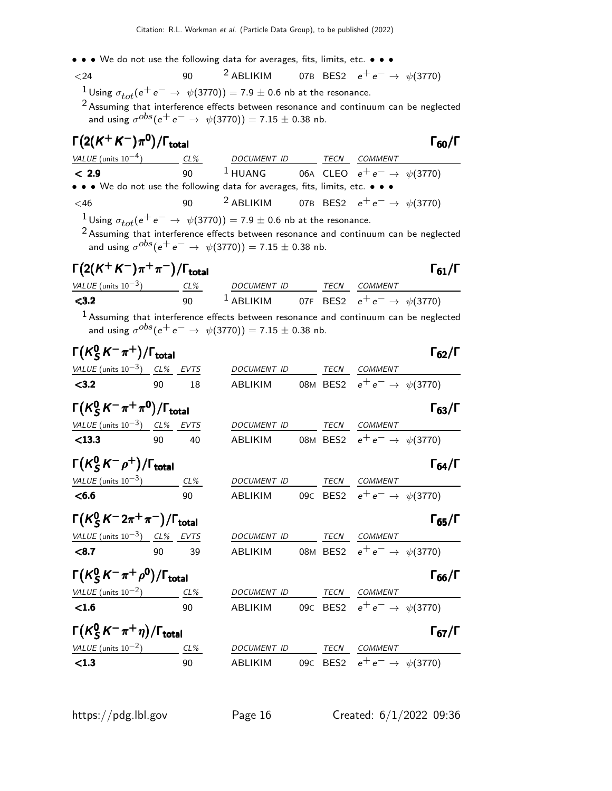$<$ 24 90  $<sup>2</sup>$  ABLIKIM 07B BES2  $e<sup>+</sup>e<sup>−</sup>$  →  $\psi$ (3770)</sup> <sup>1</sup> Using  $\sigma_{tot}(e^+e^- \rightarrow \psi(3770)) = 7.9 \pm 0.6$  nb at the resonance.

<sup>2</sup> Assuming that interference effects between resonance and continuum can be neglected and using  $\sigma^{obs}(\mathrm{e^+ e^-} \rightarrow \psi(3770)) = 7.15 \pm 0.38$  nb.

| $\Gamma(2(K^+K^-)\pi^0)/\Gamma_{\rm total}$                  |    |        |                                                                                                                                                                                        |             |                                          | $\Gamma_{60}/\Gamma$ |
|--------------------------------------------------------------|----|--------|----------------------------------------------------------------------------------------------------------------------------------------------------------------------------------------|-------------|------------------------------------------|----------------------|
|                                                              |    |        | VALUE (units $10^{-4}$ ) CL% DOCUMENT ID                                                                                                                                               |             | TECN COMMENT                             |                      |
| < 2.9                                                        |    | 90     | <sup>1</sup> HUANG 06A CLEO $e^+e^- \rightarrow \psi(3770)$                                                                                                                            |             |                                          |                      |
|                                                              |    |        | • • • We do not use the following data for averages, fits, limits, etc. • • •                                                                                                          |             |                                          |                      |
| <46                                                          |    | 90     | <sup>2</sup> ABLIKIM 07B BES2 $e^+e^- \rightarrow \psi(3770)$                                                                                                                          |             |                                          |                      |
|                                                              |    |        | $1$ Using $\sigma_{tot}(e^+e^-\rightarrow~\psi(3770)) =$ 7.9 $\pm$ 0.6 nb at the resonance.<br>$2$ Assuming that interference effects between resonance and continuum can be neglected |             |                                          |                      |
|                                                              |    |        | and using $\sigma^{obs}(e^+e^- \to \psi(3770)) = 7.15 \pm 0.38$ nb.                                                                                                                    |             |                                          |                      |
| $\Gamma(2(K^+K^-)\pi^+\pi^-)/\Gamma_{\rm total}$             |    |        |                                                                                                                                                                                        |             |                                          | $\Gamma_{61}/\Gamma$ |
|                                                              |    |        | $VALUE$ (units $10^{-3}$ ) $CL\%$ DOCUMENT ID TECN COMMENT                                                                                                                             |             |                                          |                      |
| < 3.2                                                        |    | 90     | <sup>1</sup> ABLIKIM 07F BES2 $e^+e^- \rightarrow \psi(3770)$                                                                                                                          |             |                                          |                      |
|                                                              |    |        | $^1$ Assuming that interference effects between resonance and continuum can be neglected<br>and using $\sigma^{obs}(e^+e^- \to \psi(3770)) = 7.15 \pm 0.38$ nb.                        |             |                                          |                      |
| $\Gamma(K^0_S K^-\pi^+)/\Gamma_{\rm total}$                  |    |        |                                                                                                                                                                                        |             |                                          | $\Gamma_{62}/\Gamma$ |
| VALUE (units $10^{-3}$ ) CL% EVTS                            |    |        | DOCUMENT ID                                                                                                                                                                            |             | TECN COMMENT                             |                      |
| < 3.2                                                        | 90 | 18     | ABLIKIM 08M BES2 $e^+e^- \rightarrow \psi(3770)$                                                                                                                                       |             |                                          |                      |
| $\Gamma(K_S^0\,K^-\pi^+\pi^0)/\Gamma_{\rm total}$            |    |        |                                                                                                                                                                                        |             |                                          | $\Gamma_{63}/\Gamma$ |
| VALUE (units $10^{-3}$ ) CL% EVTS                            |    |        | DOCUMENT ID                                                                                                                                                                            |             | TECN COMMENT                             |                      |
| < 13.3                                                       | 90 | 40     | ABLIKIM                                                                                                                                                                                |             | 08M BES2 $e^+e^- \rightarrow \psi(3770)$ |                      |
| $\Gamma(K^0_{\mathcal{S}}K^-\rho^+)/\Gamma_{\mathsf{total}}$ |    |        |                                                                                                                                                                                        |             |                                          | $\Gamma_{64}/\Gamma$ |
| VALUE (units $10^{-3}$ ) CL%                                 |    |        | DOCUMENT ID                                                                                                                                                                            |             | TECN COMMENT                             |                      |
| < 6.6                                                        |    | 90     | ABLIKIM                                                                                                                                                                                |             | 09c BES2 $e^+e^- \rightarrow \psi(3770)$ |                      |
| $\Gamma(K_S^0 K^- 2\pi^+\pi^-)/\Gamma_{\rm total}$           |    |        |                                                                                                                                                                                        |             |                                          | $\Gamma_{65}/\Gamma$ |
| VALUE (units $10^{-3}$ ) CL% EVTS                            |    |        | DOCUMENT ID                                                                                                                                                                            |             | TECN COMMENT                             |                      |
| < 8.7                                                        | 90 | 39     | ABLIKIM                                                                                                                                                                                |             | 08M BES2 $e^+e^- \rightarrow \psi(3770)$ |                      |
| $\Gamma(K_S^0 K^-\pi^+\rho^0)/\Gamma_{\rm total}$            |    |        |                                                                                                                                                                                        |             |                                          | $\Gamma_{66}/\Gamma$ |
| VALUE (units $10^{-2}$ )                                     |    | $CL\%$ | DOCUMENT ID                                                                                                                                                                            |             | TECN COMMENT                             |                      |
| <1.6                                                         |    | 90     | ABLIKIM                                                                                                                                                                                |             | 09c BES2 $e^+e^- \rightarrow \psi(3770)$ |                      |
| $\Gamma(K_S^0 K^- \pi^+ \eta)/\Gamma_{\rm total}$            |    |        |                                                                                                                                                                                        |             |                                          | $\Gamma_{67}/\Gamma$ |
| VALUE (units $10^{-2}$ ) CL%                                 |    |        | DOCUMENT ID                                                                                                                                                                            | <b>TECN</b> | COMMENT                                  |                      |
| < 1.3                                                        |    | 90     | ABLIKIM                                                                                                                                                                                |             | 09c BES2 $e^+e^- \rightarrow \psi(3770)$ |                      |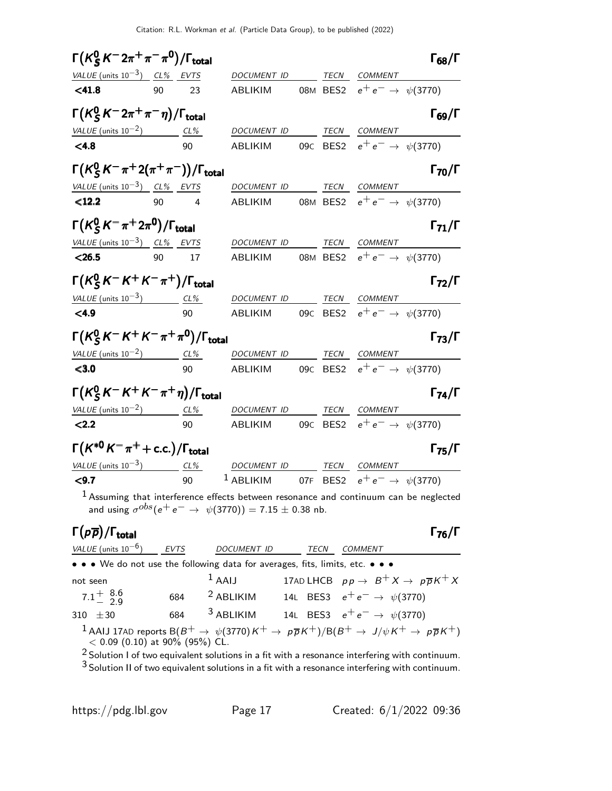| $\Gamma(K^0_S\,K^-2\pi^+\pi^-\pi^0)/\Gamma_{\rm total}$                              |     |        |                                                                                                                                                                |                 |                  |                                  | $\Gamma_{68}/\Gamma$ |
|--------------------------------------------------------------------------------------|-----|--------|----------------------------------------------------------------------------------------------------------------------------------------------------------------|-----------------|------------------|----------------------------------|----------------------|
| VALUE (units $10^{-3}$ ) CL% EVTS                                                    |     |        | DOCUMENT ID                                                                                                                                                    |                 | TECN             | COMMENT                          |                      |
| < 41.8                                                                               | 90  | 23     | ABLIKIM                                                                                                                                                        |                 | 08M BES2         | $e^+e^- \rightarrow \psi(3770)$  |                      |
| $\Gamma\bigl(\mathcal{K}^0_S\,\mathcal{K}^-2\pi^+\pi^-\eta\bigr)/\Gamma_{\sf total}$ |     |        |                                                                                                                                                                |                 |                  |                                  | $\Gamma_{69}/\Gamma$ |
| VALUE (units $10^{-2}$ )                                                             | CL% |        | DOCUMENT ID                                                                                                                                                    |                 | TECN             | <b>COMMENT</b>                   |                      |
| < 4.8                                                                                |     | 90     | ABLIKIM                                                                                                                                                        | 09C             | BES <sub>2</sub> | $e^+e^- \rightarrow \psi(3770)$  |                      |
| $\Gamma(K_S^0 K^- \pi^+ 2(\pi^+ \pi^-))/\Gamma_{\rm total}$                          |     |        |                                                                                                                                                                |                 |                  |                                  | $\Gamma_{70}/\Gamma$ |
| VALUE (units $10^{-3}$ ) CL% EVTS                                                    |     |        | DOCUMENT ID                                                                                                                                                    |                 | TECN             | <b>COMMENT</b>                   |                      |
| $12.2$                                                                               | 90  | 4      | ABLIKIM                                                                                                                                                        |                 | 08M BES2         | $e^+e^- \rightarrow \psi(3770)$  |                      |
| $\Gamma(K_S^0\,K^-\pi^+2\pi^0)/\Gamma_{\rm total}$                                   |     |        |                                                                                                                                                                |                 |                  |                                  | $\Gamma_{71}/\Gamma$ |
| VALUE (units $10^{-3}$ ) CL% EVTS                                                    |     |        | DOCUMENT ID                                                                                                                                                    |                 | TECN             | COMMENT                          |                      |
| < 26.5                                                                               | 90  | 17     | ABLIKIM                                                                                                                                                        |                 | 08M BES2         | $e^+e^- \to \psi(3770)$          |                      |
| $\Gamma(K_S^0 K^- K^+ K^- \pi^+) / \Gamma_{\rm total}$                               |     |        |                                                                                                                                                                |                 |                  |                                  | $\Gamma_{72}/\Gamma$ |
| VALUE (units $10^{-3}$ ) CL%                                                         |     |        | <b>DOCUMENT ID</b>                                                                                                                                             |                 | TECN             | <b>COMMENT</b>                   |                      |
| < 4.9                                                                                |     | 90     | ABLIKIM                                                                                                                                                        | 09 <sub>C</sub> | BES <sub>2</sub> | $e^+e^- \rightarrow \psi(3770)$  |                      |
| $\Gamma(K_S^0 K^- K^+ K^- \pi^+ \pi^0)/\Gamma_{\rm total}$                           |     |        |                                                                                                                                                                |                 |                  |                                  | $\Gamma_{73}/\Gamma$ |
| VALUE (units $10^{-2}$ )                                                             |     | CL%    | DOCUMENT ID                                                                                                                                                    |                 | TECN             | COMMENT                          |                      |
| < 3.0                                                                                |     | 90     | ABLIKIM                                                                                                                                                        |                 | 09C BES2         | $e^+e^- \rightarrow \psi(3770)$  |                      |
| $\Gamma(K_S^0 K^- K^+ K^- \pi^+ \eta)/\Gamma_{\rm total}$                            |     |        |                                                                                                                                                                |                 |                  |                                  | $\Gamma_{74}/\Gamma$ |
| VALUE (units $10^{-2}$ )                                                             |     | $CL\%$ | DOCUMENT ID                                                                                                                                                    |                 | TECN             | COMMENT                          |                      |
| < 2.2                                                                                |     | 90     | <b>ABLIKIM</b>                                                                                                                                                 |                 | 09C BES2         | $e^+e^- \to \psi(3770)$          |                      |
| $\Gamma(K^{*0}K^-\pi^+ + c.c.)/\Gamma_{\text{total}}$                                |     |        |                                                                                                                                                                |                 |                  |                                  | $\Gamma_{75}/\Gamma$ |
| <u>VALUE</u> (units $10^{-3}$ ) CL%                                                  |     |        | DOCUMENT ID                                                                                                                                                    |                 | TECN             | COMMENT                          |                      |
| < 9.7                                                                                |     | 90     | $1$ ABLIKIM                                                                                                                                                    |                 |                  | 07F BES2 $e^+e^- \to \psi(3770)$ |                      |
|                                                                                      |     |        | $1$ Assuming that interference effects between resonance and continuum can be neglected<br>and using $\sigma^{obs}(e^+e^- \to \psi(3770)) = 7.15 \pm 0.38$ nb. |                 |                  |                                  |                      |

### Γ $(p\overline{p})/\Gamma_{\text{total}}$  Γ $_{76}/\Gamma$

| VALUE (units $10^{-6}$ )                                                      | <b>EVTS</b> | <b>DOCUMENT ID</b>         | TECN | COMMENT                                                                                                                                                      |
|-------------------------------------------------------------------------------|-------------|----------------------------|------|--------------------------------------------------------------------------------------------------------------------------------------------------------------|
| • • • We do not use the following data for averages, fits, limits, etc. • • • |             |                            |      |                                                                                                                                                              |
| not seen                                                                      |             | $1$ AAIJ                   |      | 17AD LHCB $pp \rightarrow B^+ X \rightarrow p\overline{p}K^+ X$                                                                                              |
| $7.1^{+}_{-}$ $^{8.6}_{2.9}$                                                  |             | $684$ <sup>2</sup> ABLIKIM |      | 14L BES3 $e^+e^- \rightarrow \psi(3770)$                                                                                                                     |
| 310 $\pm 30$                                                                  | 684         | $3$ ABLIKIM                |      | 14L BES3 $e^+e^- \rightarrow \psi(3770)$                                                                                                                     |
| $\sim$                                                                        |             |                            |      | 1 AAIJ 17AD reports $B(B^+ \to \psi(3770)K^+ \to \rho\overline{\rho}K^+)/B(B^+ \to J/\psi K^+ \to \rho\overline{\rho}K^+)$<br>< 0.09 (0.10) at 90% (95%) CL. |

2 Solution I of two equivalent solutions in a fit with a resonance interfering with continuum. 3 Solution II of two equivalent solutions in a fit with a resonance interfering with continuum.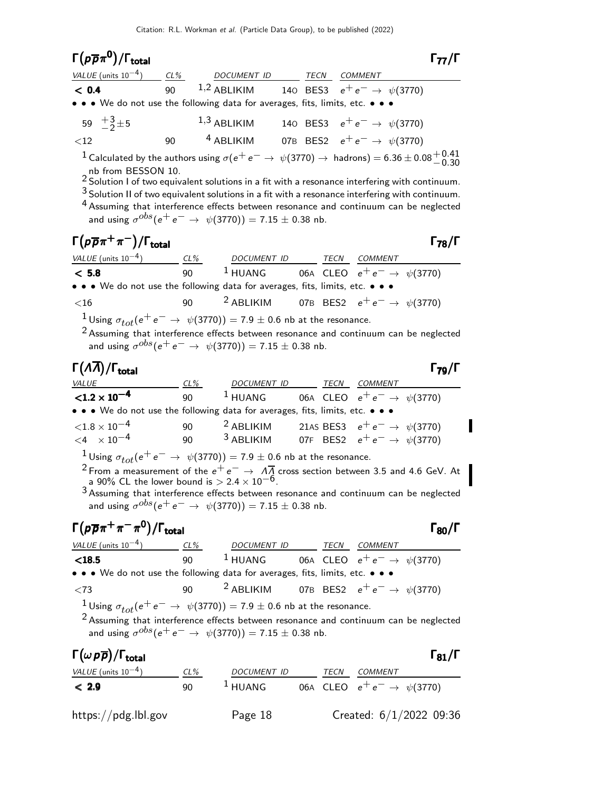| $\Gamma(p\overline{p}\pi^0)/\Gamma_{\rm total}$                                                                                                                                                                                                                                                                                                                                                                                                                                                                                                       |    |                                                                                                                                                                                                                                                           |  |  |  | 77/1                                                           |
|-------------------------------------------------------------------------------------------------------------------------------------------------------------------------------------------------------------------------------------------------------------------------------------------------------------------------------------------------------------------------------------------------------------------------------------------------------------------------------------------------------------------------------------------------------|----|-----------------------------------------------------------------------------------------------------------------------------------------------------------------------------------------------------------------------------------------------------------|--|--|--|----------------------------------------------------------------|
| $VALUE$ (units $10^{-4}$ ) $CL\%$ DOCUMENT ID TECN COMMENT                                                                                                                                                                                                                                                                                                                                                                                                                                                                                            |    |                                                                                                                                                                                                                                                           |  |  |  |                                                                |
| < 0.4                                                                                                                                                                                                                                                                                                                                                                                                                                                                                                                                                 |    | 90 <sup>1,2</sup> ABLIKIM 140 BES3 $e^+e^- \rightarrow \psi(3770)$                                                                                                                                                                                        |  |  |  |                                                                |
| • • • We do not use the following data for averages, fits, limits, etc. • • •                                                                                                                                                                                                                                                                                                                                                                                                                                                                         |    |                                                                                                                                                                                                                                                           |  |  |  |                                                                |
| 59 $\frac{+3}{2}$ ± 5                                                                                                                                                                                                                                                                                                                                                                                                                                                                                                                                 |    | $1,3$ ABLIKIM 140 BES3 $e^+e^- \rightarrow \psi(3770)$                                                                                                                                                                                                    |  |  |  |                                                                |
| $<$ 12                                                                                                                                                                                                                                                                                                                                                                                                                                                                                                                                                | 90 | $^4$ ABLIKIM $\qquad$ 07B BES2 $\,$ $\,$ $\mathrm{e^+e^-} \rightarrow \,$ $\psi(3770)$                                                                                                                                                                    |  |  |  |                                                                |
| <sup>1</sup> Calculated by the authors using $\sigma(e^+e^-\rightarrow \psi(3770)\rightarrow$ hadrons) = 6.36 $\pm$ 0.08 $^{+0.41}_{-0.30}$<br>nb from BESSON 10.<br>$2$ Solution I of two equivalent solutions in a fit with a resonance interfering with continuum.<br>$3$ Solution II of two equivalent solutions in a fit with a resonance interfering with continuum.<br><sup>4</sup> Assuming that interference effects between resonance and continuum can be neglected<br>and using $\sigma^{obs}(e^+e^- \to \psi(3770)) = 7.15 \pm 0.38$ nb. |    |                                                                                                                                                                                                                                                           |  |  |  |                                                                |
| $\Gamma(p\overline{p}\pi^+\pi^-)/\Gamma_{\rm total}$                                                                                                                                                                                                                                                                                                                                                                                                                                                                                                  |    |                                                                                                                                                                                                                                                           |  |  |  | $\Gamma_{78}/\Gamma$                                           |
| $\frac{VALUE \text{ (units 10}^{-4})}{C = 5.8}$ $\frac{CL\%}{90}$ $\frac{DOCUMENT ID}{1 HUANG}$ $\frac{TECN}{CLEO}$ $\frac{COMMENT}{e^+ e^-} \rightarrow \psi(3770)$                                                                                                                                                                                                                                                                                                                                                                                  |    |                                                                                                                                                                                                                                                           |  |  |  |                                                                |
|                                                                                                                                                                                                                                                                                                                                                                                                                                                                                                                                                       |    |                                                                                                                                                                                                                                                           |  |  |  |                                                                |
| • • • We do not use the following data for averages, fits, limits, etc. • • •                                                                                                                                                                                                                                                                                                                                                                                                                                                                         |    |                                                                                                                                                                                                                                                           |  |  |  |                                                                |
| $<$ 16                                                                                                                                                                                                                                                                                                                                                                                                                                                                                                                                                | 90 | <sup>2</sup> ABLIKIM 07B BES2 $e^+e^- \rightarrow \psi(3770)$                                                                                                                                                                                             |  |  |  |                                                                |
|                                                                                                                                                                                                                                                                                                                                                                                                                                                                                                                                                       |    | $1$ Using $\sigma_{tot}(e^+e^-\rightarrow \psi(3770)) = 7.9\pm0.6$ nb at the resonance.<br>$2$ Assuming that interference effects between resonance and continuum can be neglected<br>and using $\sigma^{obs}(e^+e^- \to \psi(3770)) = 7.15 \pm 0.38$ nb. |  |  |  |                                                                |
| $\Gamma(\Lambda\overline{\Lambda})/\Gamma_{\rm total}$                                                                                                                                                                                                                                                                                                                                                                                                                                                                                                |    |                                                                                                                                                                                                                                                           |  |  |  | $\Gamma_{79}/\Gamma$                                           |
| <i>VALUE</i>                                                                                                                                                                                                                                                                                                                                                                                                                                                                                                                                          |    | $\frac{CL\%}{90}$ $\frac{DOCUMENT ID}{1 + UANG}$ $\frac{TECN}{1 - UEG}$ $\frac{COMMENT}{e^+ e^-}$ $\frac{\phi(3770)}{20}$                                                                                                                                 |  |  |  |                                                                |
| $< 1.2 \times 10^{-4}$                                                                                                                                                                                                                                                                                                                                                                                                                                                                                                                                |    |                                                                                                                                                                                                                                                           |  |  |  |                                                                |
| • • • We do not use the following data for averages, fits, limits, etc. • • •                                                                                                                                                                                                                                                                                                                                                                                                                                                                         |    |                                                                                                                                                                                                                                                           |  |  |  |                                                                |
| ${<}1.8\times10^{-4}$                                                                                                                                                                                                                                                                                                                                                                                                                                                                                                                                 |    | 90 000                                                                                                                                                                                                                                                    |  |  |  | <sup>2</sup> ABLIKIM 21AS BES3 $e^+e^- \rightarrow \psi(3770)$ |

 $<$ 4  $\times$  10<sup>-4</sup> 90 <sup>3</sup> ABLIKIM 07F BES2  $e^+e^- \rightarrow \psi(3770)$ <sup>1</sup>Using  $\sigma_{tot}(e^+e^- \rightarrow \psi(3770)) = 7.9 \pm 0.6$  nb at the resonance. <sup>2</sup> From a measurement of the  $e^+e^- \rightarrow \Lambda \overline{\Lambda}$  cross section between 3.5 and 4.6 GeV. At a 90% CL the lower bound is  $> 2.4 \times 10^{-6}$ . 3 Assuming that interference effects between resonance and continuum can be neglected and using  $\sigma^{obs}(\mathrm{e^+ e^-} \rightarrow \psi(3770)) = 7.15 \pm 0.38$  nb.

# Γ $(p\overline{p}\pi^{+}\pi^{-}\pi^{0})/\Gamma_{\mathrm{total}}$

| VALUE (units $10^{-4}$ )                                                                                              | CL% | DOCUMENT ID | TECN | COMMENT                                                       |
|-----------------------------------------------------------------------------------------------------------------------|-----|-------------|------|---------------------------------------------------------------|
| $<$ 18.5                                                                                                              | 90  |             |      | <sup>1</sup> HUANG 06A CLEO $e^+e^- \rightarrow \psi(3770)$   |
| $\bullet \bullet \bullet$ We do not use the following data for averages, fits, limits, etc. $\bullet \bullet \bullet$ |     |             |      |                                                               |
| $\langle 73$                                                                                                          | 90  |             |      | <sup>2</sup> ABLIKIM 07B BES2 $e^+e^- \rightarrow \psi(3770)$ |
| <sup>1</sup> Using $\sigma_{tot}(e^+e^- \rightarrow \psi(3770)) = 7.9 \pm 0.6$ nb at the resonance.                   |     |             |      |                                                               |

2 Assuming that interference effects between resonance and continuum can be neglected and using  $\sigma^{obs}(\mathrm{e^+ e^-} \rightarrow \psi(3770)) = 7.15 \pm 0.38$  nb.

| $\Gamma(\omega p \overline{p})/\Gamma_{\rm total}$ |        |                    |  |      |                                  | $\Gamma_{81}/\Gamma$ |
|----------------------------------------------------|--------|--------------------|--|------|----------------------------------|----------------------|
| <i>VALUE</i> (units $10^{-4}$ )                    | $CL\%$ | <b>DOCUMENT ID</b> |  | TECN | COMMENT                          |                      |
| < 2.9                                              | 90     | $1$ HUANG          |  |      | 06A CLEO $e^+e^- \to \psi(3770)$ |                      |
| https://pdg.lbl.gov                                |        | Page 18            |  |      | Created: $6/1/2022$ 09:36        |                      |

Π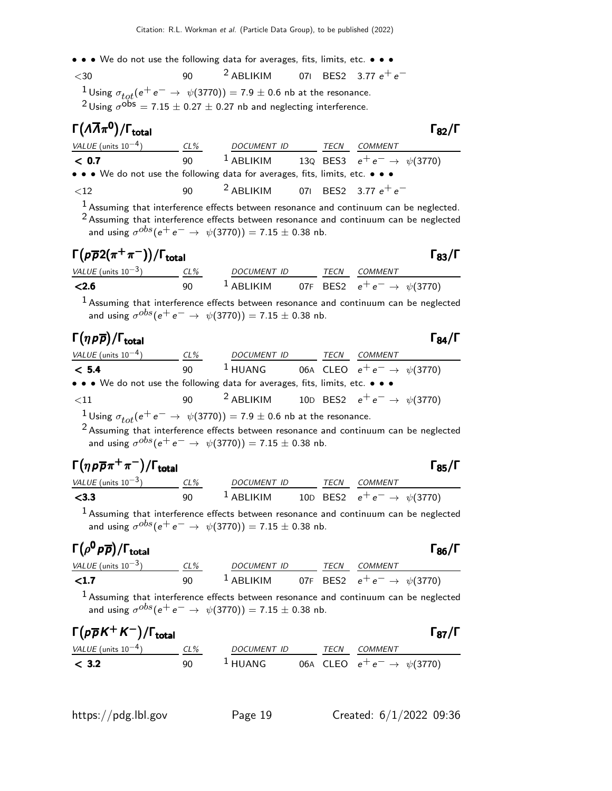- • We do not use the following data for averages, fits, limits, etc. • •
- $<$ 30 90  $^2$  ABLIKIM 07I BES2 3.77  $e^+e^-$ <sup>1</sup>Using  $\sigma_{tot}(e^+e^- \rightarrow \psi(3770)) = 7.9 \pm 0.6$  nb at the resonance.

<sup>2</sup> Using  $\sigma^{\rm obs} = 7.15 \pm 0.27 \pm 0.27$  nb and neglecting interference.

# Γ $(A\overline{A}\pi^{\mathbf{0}})/\Gamma_{\mathrm{total}}$

 $\Gamma_{82}/\Gamma$ 

| VALUE (units $10^{-4}$ )                                                      | $CL\%$ | DOCUMENT ID                                 | TECN | COMMENT                                                          |
|-------------------------------------------------------------------------------|--------|---------------------------------------------|------|------------------------------------------------------------------|
| < 0.7                                                                         |        |                                             |      | 90 <sup>1</sup> ABLIKIM 13Q BES3 $e^+e^- \rightarrow \psi(3770)$ |
| • • • We do not use the following data for averages, fits, limits, etc. • • • |        |                                             |      |                                                                  |
| ${<}12$                                                                       | $90 -$ | <sup>2</sup> ABLIKIM 071 BES2 3.77 $e^+e^-$ |      |                                                                  |
|                                                                               |        |                                             |      |                                                                  |

<sup>1</sup> Assuming that interference effects between resonance and continuum can be neglected. 2 Assuming that interference effects between resonance and continuum can be neglected and using  $\sigma^{obs}(\mathrm{e^+ e^-} \rightarrow \psi(3770)) = 7.15 \pm 0.38$  nb.

# $\Gamma(p\overline{\rho}2(\pi^+\pi^-))/\Gamma_{\rm total}$  Γ<sub>83</sub>/Γ

| VALUE (units $10^{-3}$ ) | $CL\%$ | <i>DOCUMENT ID</i> |  | <i>TECN COMMENT</i>                                           |
|--------------------------|--------|--------------------|--|---------------------------------------------------------------|
| < 2.6                    | 90     |                    |  | <sup>1</sup> ABLIKIM 07F BES2 $e^+e^- \rightarrow \psi(3770)$ |

 $<sup>1</sup>$  Assuming that interference effects between resonance and continuum can be neglected</sup> and using  $\sigma^{obs}(\mathrm{e^+ e^-} \rightarrow \psi(3770)) = 7.15 \pm 0.38$  nb.

| $\Gamma(\eta\,\rho\overline{\rho})/\Gamma_{\rm total}$                                                                |     |             |      |                                          | $\Gamma_{84}/\Gamma$ |
|-----------------------------------------------------------------------------------------------------------------------|-----|-------------|------|------------------------------------------|----------------------|
| VALUE (units $10^{-4}$ )                                                                                              | CL% | DOCUMENT ID | TECN | <i>COMMENT</i>                           |                      |
| < 5.4                                                                                                                 | ۹O  | $^1$ HUANG  |      | 06A CLEO $e^+e^- \rightarrow \psi(3770)$ |                      |
| $\bullet \bullet \bullet$ We do not use the following data for averages, fits, limits, etc. $\bullet \bullet \bullet$ |     |             |      |                                          |                      |
| ${<}11$                                                                                                               | 90  | $2$ ABLIKIM |      | 10D BES2 $e^+e^- \rightarrow \psi(3770)$ |                      |

<sup>1</sup>Using  $\sigma_{tot}(e^+e^- \rightarrow \psi(3770)) = 7.9 \pm 0.6$  nb at the resonance.

<sup>2</sup> Assuming that interference effects between resonance and continuum can be neglected and using  $\sigma^{obs}(\mathrm{e^+ e^-} \rightarrow \psi(3770)) = 7.15 \pm 0.38$  nb.

# $\Gamma(\eta p \overline{p} \pi^+ \pi^-)/\Gamma_{\rm total}$

| $\Gamma(\eta \rho \overline{\rho} \pi^+ \pi^-)/\Gamma_{\rm total}$ |     |                        |  |      |                                          |  |
|--------------------------------------------------------------------|-----|------------------------|--|------|------------------------------------------|--|
| VALUE (units $10^{-3}$ )                                           | CL% | <i>DOCUMENT ID</i>     |  | TECN | <i>COMMENT</i>                           |  |
| $<$ 3.3                                                            | ۹N  | $\frac{1}{2}$ ARI IKIM |  |      | 10D BES2 $e^+e^- \rightarrow \psi(3770)$ |  |

 $1$  Assuming that interference effects between resonance and continuum can be neglected and using  $\sigma^{obs}(\mathrm{e^+ e^-} \rightarrow \psi(3770)) = 7.15 \pm 0.38$  nb.

#### $\Gamma\big(\rho^{\mathsf{0}}\,\mathsf{p}\,\overline{\mathsf{p}}\big)/\mathsf{\Gamma}_{\mathsf{total}}$  $(\rho^0 \, \rho \, \overline{\rho})/\Gamma_{\rm total}$  Γ<sub>86</sub>/Γ VALUE (units 10<sup>-3</sup>) CL% DOCUMENT ID TECN COMMENT **<1.7** 90 <sup>1</sup> ABLIKIM 07F BES2  $e^+e^- \to \psi(3770)$

<sup>1</sup> Assuming that interference effects between resonance and continuum can be neglected and using  $\sigma^{obs}(\mathrm{e^+ e^-} \rightarrow \psi(3770)) = 7.15 \pm 0.38$  nb.

| $\Gamma(p\overline{p}K^+K^-)/\Gamma_{\rm total}$ |        |                     |      | $\Gamma_{87}/\Gamma$             |
|--------------------------------------------------|--------|---------------------|------|----------------------------------|
| <i>VALUE</i> (units $10^{-4}$ )                  | $CL\%$ | DOCUMENT ID         | TECN | COMMENT                          |
| < 3.2                                            | 90     | $\frac{1}{2}$ HUANG |      | 06A CLEO $e^+e^- \to \psi(3770)$ |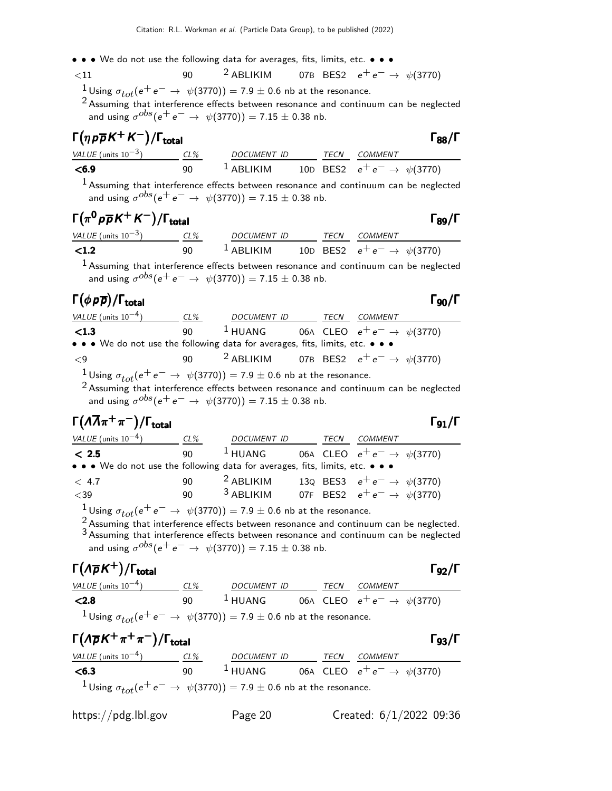• • • We do not use the following data for averages, fits, limits, etc. • • •  $\leq 11$  90  $\qquad 2$  ABLIKIM 07B BES2  $e^+e^-$ 

 $\langle 11$  90 2 ABLIKIM 07B BES2  $e^+e^-$  →  $\psi(3770)$ <sup>1</sup> Using  $σ_{tot}(e^+e^-\rightarrow$   $ψ(3770)) = 7.9 ± 0.6$  nb at the resonance.

2 Assuming that interference effects between resonance and continuum can be neglected and using  $\sigma^{obs}(\mathrm{e^+ e^-} \rightarrow \psi(3770)) = 7.15 \pm 0.38$  nb.

| $\Gamma(\eta p \overline{p} K^+ K^-)/\Gamma_{\rm total}$ |     |                       |  |      |                                          | $\Gamma_{88}/\Gamma$ |
|----------------------------------------------------------|-----|-----------------------|--|------|------------------------------------------|----------------------|
| VALUE (units $10^{-3}$ )                                 | CL% | <b>DOCUMENT ID</b>    |  | TECN | COMMENT                                  |                      |
| $<$ 6.9                                                  | ۹N  | $\frac{1}{2}$ ABLIKIM |  |      | 10D BES2 $e^+e^- \rightarrow \psi(3770)$ |                      |

 $<sup>1</sup>$  Assuming that interference effects between resonance and continuum can be neglected</sup> and using  $\sigma^{obs}(\mathrm{e^+ e^-} \rightarrow \psi(3770)) = 7.15 \pm 0.38$  nb.

# $\Gamma(\pi^0 p \overline{p} K^+ K^-)/\Gamma_{\rm total}$  Γ<sub>89</sub>/Γ

| VALUE (units $10^{-3}$ ) | $CL\%$ | <i>DOCUMENT ID</i> | TFCN | <i>COMMENT</i>                           |
|--------------------------|--------|--------------------|------|------------------------------------------|
| $\langle 1.2 \rangle$    | 90     | $^1$ ABLIKIM       |      | 10D BES2 $e^+e^- \rightarrow \psi(3770)$ |

 $1$  Assuming that interference effects between resonance and continuum can be neglected and using  $\sigma^{obs}(\mathrm{e^+ e^-} \rightarrow \psi(3770)) = 7.15 \pm 0.38$  nb.

### Γ $(\phi \rho \overline{\rho})$ /Γ<sub>total</sub> 90

| VALUE (units $10^{-4}$ )                                                                                              | CL% | DOCUMENT ID | TECN | COMMENT                                                          |
|-----------------------------------------------------------------------------------------------------------------------|-----|-------------|------|------------------------------------------------------------------|
| $\langle$ 1.3                                                                                                         | 90  |             |      | <sup>1</sup> HUANG 06A CLEO $e^+e^- \rightarrow \psi(3770)$      |
| $\bullet \bullet \bullet$ We do not use the following data for averages, fits, limits, etc. $\bullet \bullet \bullet$ |     |             |      |                                                                  |
| $\mathbf{<}9$                                                                                                         |     |             |      | 90 <sup>2</sup> ABLIKIM 07B BES2 $e^+e^- \rightarrow \psi(3770)$ |
| <sup>1</sup> Using $\sigma_{tot}(e^+e^- \rightarrow \psi(3770)) = 7.9 \pm 0.6$ nb at the resonance.                   |     |             |      |                                                                  |

2 Assuming that interference effects between resonance and continuum can be neglected and using  $\sigma^{obs}(\mathrm{e^+ e^-} \rightarrow \psi(3770)) = 7.15 \pm 0.38$  nb.

#### $\Gamma(\Lambda\overline{\Lambda}\pi^+\pi^-)/\Gamma_{\rm total}$ /Γ $_{\rm total}$ Γ $_{91}$ /Γ

| VALUE (units $10^{-4}$ )                                                      | CL% | DOCUMENT ID | TECN | <b>COMMENT</b>                           |
|-------------------------------------------------------------------------------|-----|-------------|------|------------------------------------------|
| < 2.5                                                                         | 90  | $^1$ HUANG  |      | 06A CLEO $e^+e^- \rightarrow \psi(3770)$ |
| • • • We do not use the following data for averages, fits, limits, etc. • • • |     |             |      |                                          |
| < 4.7                                                                         | 90  | $2$ ABLIKIM |      | 130 BES3 $e^+e^- \rightarrow \psi(3770)$ |
| $<$ 39                                                                        | 90  | $3$ ABLIKIM |      | 07F BES2 $e^+e^- \rightarrow \psi(3770)$ |
|                                                                               |     |             |      |                                          |

<sup>1</sup> Using  $\sigma_{tot}(e^+e^- \rightarrow \psi(3770)) = 7.9 \pm 0.6$  nb at the resonance.

<sup>2</sup> Assuming that interference effects between resonance and continuum can be neglected. 3 Assuming that interference effects between resonance and continuum can be neglected and using  $\sigma^{obs}(\mathrm{e^+ e^-} \rightarrow \psi(3770)) = 7.15 \pm 0.38$  nb.

# Γ $(A\overline{p}K^+)$ /Γ<sub>total</sub> Γενιάτια Γενιάται Γενιάται Γενιάται Γενιάται Γενιάται Γενιάται Γενιάται Γενιάται Γενιάτ

| $\Gamma(\Lambda \overline{\rho} K^+) / \Gamma_{\rm total}$                                          |     |                    |      |                                          | $\Gamma_{92}/\Gamma$ |
|-----------------------------------------------------------------------------------------------------|-----|--------------------|------|------------------------------------------|----------------------|
| VALUE (units $10^{-4}$ )                                                                            | CL% | <b>DOCUMENT ID</b> | TECN | COMMENT                                  |                      |
| < 2.8                                                                                               | 90  | $^1$ HUANG         |      | 06A CLEO $e^+e^- \rightarrow \psi(3770)$ |                      |
| <sup>1</sup> Using $\sigma_{tot}(e^+e^- \rightarrow \psi(3770)) = 7.9 \pm 0.6$ nb at the resonance. |     |                    |      |                                          |                      |

| $\Gamma(\Lambda \overline{\rho} K^+\pi^+\pi^-)/\Gamma_{\rm total}$                                  |     |                    |      |                                  | $\Gamma_{93}/\Gamma$ |
|-----------------------------------------------------------------------------------------------------|-----|--------------------|------|----------------------------------|----------------------|
| <i>VALUE</i> (units $10^{-4}$ )                                                                     | CL% | <b>DOCUMENT ID</b> | TECN | <i>COMMENT</i>                   |                      |
| < 6.3                                                                                               | 90  | $^1$ HUANG         |      | 06A CLEO $e^+e^- \to \psi(3770)$ |                      |
| <sup>1</sup> Using $\sigma_{tot}(e^+e^- \rightarrow \psi(3770)) = 7.9 \pm 0.6$ nb at the resonance. |     |                    |      |                                  |                      |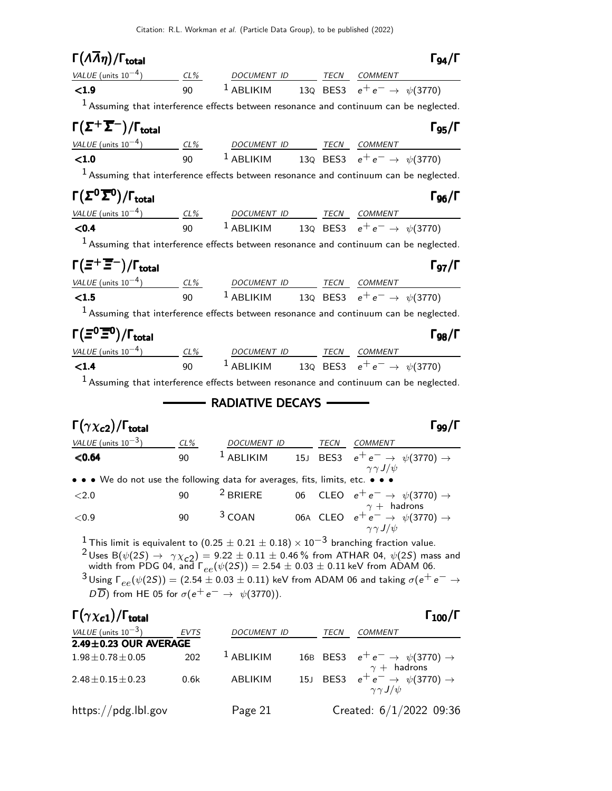| $\Gamma(\Lambda \overline{\Lambda}\eta)/\Gamma_{\rm total}$                                                                                                                        |          |                                                                           |  |                                                                           | $\Gamma_{94}/\Gamma$              |
|------------------------------------------------------------------------------------------------------------------------------------------------------------------------------------|----------|---------------------------------------------------------------------------|--|---------------------------------------------------------------------------|-----------------------------------|
| VALUE (units $10^{-4}$ )                                                                                                                                                           |          | CL% DOCUMENT ID TECN COMMENT                                              |  |                                                                           |                                   |
| < 1.9                                                                                                                                                                              | $90 - 1$ | <sup>1</sup> ABLIKIM 13Q BES3 $e^+e^- \rightarrow \psi(3770)$             |  |                                                                           |                                   |
| $1$ Assuming that interference effects between resonance and continuum can be neglected.                                                                                           |          |                                                                           |  |                                                                           |                                   |
| $\Gamma(\Sigma^+\overline{\Sigma}^-)/\Gamma_{\rm total}$                                                                                                                           |          |                                                                           |  |                                                                           | $\Gamma$ <sub>95</sub> / $\Gamma$ |
| $VALUE (units 10-4)$ CL% DOCUMENT ID TECN COMMENT                                                                                                                                  |          |                                                                           |  |                                                                           |                                   |
| < 1.0                                                                                                                                                                              |          | 90 <sup>1</sup> ABLIKIM 13Q BES3 $e^+e^- \rightarrow \psi(3770)$          |  |                                                                           |                                   |
| $1$ Assuming that interference effects between resonance and continuum can be neglected.                                                                                           |          |                                                                           |  |                                                                           |                                   |
| $\Gamma(\Sigma^0\overline{\Sigma}{}^0)/\Gamma_{\rm total}$                                                                                                                         |          |                                                                           |  |                                                                           | $\Gamma_{96}/\Gamma$              |
|                                                                                                                                                                                    |          |                                                                           |  |                                                                           |                                   |
| $\frac{VALUE \text{ (units 10}^{-4})}{500}$ $\frac{CL\%}{90}$ $\frac{DOCUMENT \text{ ID}}{1 \text{ ABLIKIM}}$ $\frac{TECN}{130}$ $\frac{COMMENT}{e^+e^-}$ $\rightarrow \psi(3770)$ |          |                                                                           |  |                                                                           |                                   |
| $1$ Assuming that interference effects between resonance and continuum can be neglected.                                                                                           |          |                                                                           |  |                                                                           |                                   |
| $\Gamma(\Xi^+\overline{\Xi}^-)/\Gamma_{\rm total}$                                                                                                                                 |          |                                                                           |  |                                                                           | $\Gamma$ <sub>97</sub> / $\Gamma$ |
| $VALUE$ (units $10^{-4}$ ) $CL\%$ DOCUMENT ID TECN COMMENT                                                                                                                         |          |                                                                           |  |                                                                           |                                   |
| $<1.5$                                                                                                                                                                             |          | 90 <sup>1</sup> ABLIKIM 13Q BES3 $e^+e^- \to \psi(3770)$                  |  |                                                                           |                                   |
| $1$ Assuming that interference effects between resonance and continuum can be neglected.                                                                                           |          |                                                                           |  |                                                                           |                                   |
| $\Gamma(\Xi^0 \overline{\Xi}{}^0)/\Gamma_{\rm total}$                                                                                                                              |          |                                                                           |  |                                                                           | $\Gamma_{QR}/\Gamma$              |
| $VALUE$ (units $10^{-4}$ ) $CL\%$ DOCUMENT ID TECN COMMENT                                                                                                                         |          |                                                                           |  |                                                                           |                                   |
| < 1.4                                                                                                                                                                              | 90       | <sup>1</sup> ABLIKIM 13Q BES3 $e^+e^- \rightarrow \psi(3770)$             |  |                                                                           |                                   |
| $1$ Assuming that interference effects between resonance and continuum can be neglected.                                                                                           |          |                                                                           |  |                                                                           |                                   |
|                                                                                                                                                                                    |          | - RADIATIVE DECAYS -                                                      |  |                                                                           |                                   |
| $\Gamma(\gamma \chi_{c2})/\Gamma_{\rm total}$                                                                                                                                      |          |                                                                           |  |                                                                           | $\Gamma_{99}/\Gamma$              |
| $VALUE$ (units $10^{-3}$ ) CL%                                                                                                                                                     |          | DOCUMENT ID TECN COMMENT                                                  |  |                                                                           |                                   |
| < 0.64                                                                                                                                                                             | 90       | <sup>1</sup> ABLIKIM 15J BES3 $e^+e^- \rightarrow \psi(3770) \rightarrow$ |  |                                                                           |                                   |
| • • • We do not use the following data for averages, fits, limits, etc. • • •                                                                                                      |          |                                                                           |  |                                                                           |                                   |
| ${<}2.0$                                                                                                                                                                           | 90       | $2$ BRIERE                                                                |  | 06 CLEO $e^+e^- \rightarrow \psi(3770) \rightarrow$<br>$\gamma +$ hadrons |                                   |

 $<$ 0.9 90  $^3$  COAN 06A CLEO  $e^+e^-$  →  $\psi(3770)$  →  $\gamma\gamma J/\psi$ 

 $\frac{1}{2}$ This limit is equivalent to  $(0.25\pm0.21\pm0.18)\times10^{-3}$  branching fraction value.

 $^{2}$ Uses B( $\psi(25) \rightarrow \gamma \chi_{c2}$ ) = 9.22 ± 0.11 ± 0.46 % from ATHAR 04,  $\psi(25)$  mass and width from PDG 04, and  $\Gamma_{ee}(\psi(2S)) = 2.54 \pm 0.03 \pm 0.11$  keV from ADAM 06.

 $^3$ Using  $\mathsf{\Gamma}_{ee}(\psi(2S)) = (2.54\pm0.03\pm0.11)$  keV from ADAM 06 and taking  $\sigma(\mathrm{e^+e^-} \rightarrow$  $\overline{D}$ ) from HE 05 for  $\sigma(e^+e^- \rightarrow \psi(3770))$ .

### Γ $(\gamma \chi_{c1})$ /Γ<sub>total</sub> Γ<sub>100</sub>/Γ

| <i>VALUE</i> (units $10^{-3}$ ) | <b>EVTS</b> | <b>DOCUMENT ID</b> | TECN | COMMENT                                                                        |
|---------------------------------|-------------|--------------------|------|--------------------------------------------------------------------------------|
| $2.49 \pm 0.23$ OUR AVERAGE     |             |                    |      |                                                                                |
| $1.98 \pm 0.78 \pm 0.05$        | 202         | $1$ ABLIKIM        |      | 16B BES3 $e^+e^- \rightarrow \psi(3770) \rightarrow$<br>$\gamma +$ hadrons     |
| $2.48 \pm 0.15 \pm 0.23$        | 0.6k        | ABLIKIM            |      | 15J BES3 $e^+e^- \rightarrow \psi(3770) \rightarrow$<br>$\gamma \gamma J/\psi$ |
| https://pdg.lbl.gov             |             | Page 21            |      | Created: $6/1/2022$ 09:36                                                      |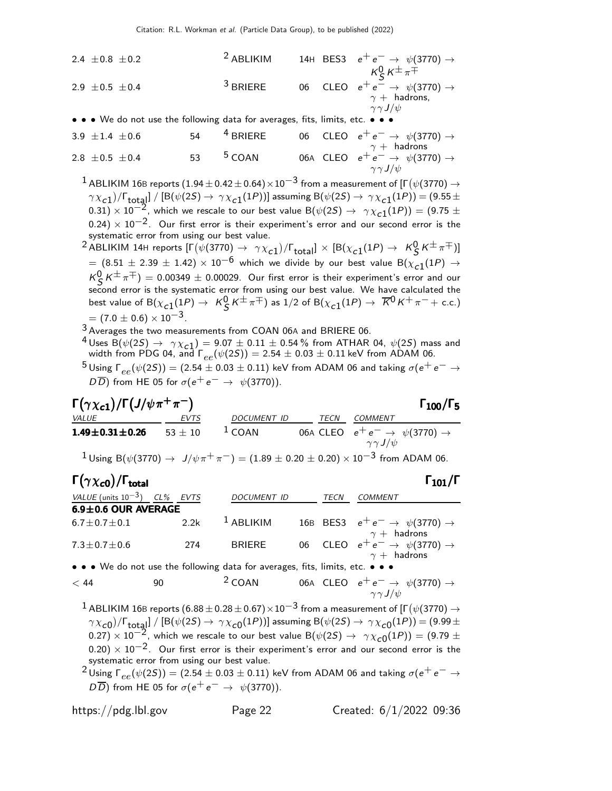2.4 ±0.8 ±0.2  
\n2.9 ±0.5 ±0.4  
\n3 BRIERE  
\n3 BRIERE  
\n3 BRIERE  
\n3 BRIERE  
\n3 BRIERE  
\n
$$
\begin{array}{rcl}\n & 3 \text{ BRIERE} \\
 & 4 \text{ BES3} \\
 & 6 \text{ CLEO} \\
 & 6 \text{ CLEO} \\
 & 6 \text{ CLEO} \\
 & 7 \text{ A} \\
 & 7 \text{ A} \\
 & 7 \text{ A} \\
 & 7 \text{ A} \\
 & 7 \text{ B} \\
 & 7 \text{ B} \\
 & 7 \text{ C}\n\end{array}
$$

| 3.9 ±1.4 ±0.6          | 54              | 4 BRIERE | 06  | CLEO | $e^+e^- \rightarrow \psi(3770) \rightarrow$ |
|------------------------|-----------------|----------|-----|------|---------------------------------------------|
| 2.8 ±0.5 ±0.4          | 53              | 5 COAN   | 06A | CLEO | $e^+e^- \rightarrow \psi(3770) \rightarrow$ |
| $\gamma \gamma J/\psi$ | $\gamma \gamma$ |          |     |      |                                             |

 $^1$  ABLIKIM 16B reports  $(1.94\pm0.42\pm0.64)\times10^{-3}$  from a measurement of [Г $(\psi(3770)\rightarrow$  $\gamma\chi_{\bf C1})$ / $\Gamma_{\bf tot}$ al $]$  /  $[{\sf B}(\psi(2S) \to \gamma\chi_{\bf C1}(1P))]$  assuming  ${\sf B}(\psi(2S) \to \gamma\chi_{\bf C1}(1P))$   $=$   $(9.55 \pm$  $(0.31)\times 10^{-2}$ , which we rescale to our best value B $(\psi(2S) \rightarrow \ \gamma \chi_{c1}(1P)) = (9.75 \pm 1)$  $0.24$ ) ×  $10^{-2}$ . Our first error is their experiment's error and our second error is the systematic error from using our best value.

 $^2$ ABLIKIM 14H reports  $[\Gamma(\psi(3770)\to\;\gamma\chi_{c1})/\Gamma_{\rm total}]\times[{\rm B}(\chi_{c1}(1P)\to\;K^0_S\,K^{\pm}\,\pi^{\mp})]$  $=(8.51\,\pm\,2.39\,\pm\,1.42)\times 10^{-6}$  which we divide by our best value  ${\sf B}(\chi_{\tt C1}(1P)$   $\rightarrow$  $K_S^0 K^{\pm} \pi^{\mp}$ ) = 0.00349  $\pm$  0.00029. Our first error is their experiment's error and our second error is the systematic error from using our best value. We have calculated the best value of  ${\sf B}(\chi_{\bf c1}(1P)\to~{\sf K}^{\sf O}_{\cal S}\,{\sf K}^{\pm}\,\pi^{\mp})$  as  $1/2$  of  ${\sf B}(\chi_{\bf c1}(1P)\to~\overline{\sf K}^{\sf O}\,{\sf K}^+\,\pi^-+$  c.c.)  $= (7.0 \pm 0.6) \times 10^{-3}$ .

3 Averages the two measurements from COAN 06A and BRIERE 06.

4 Uses  $B(\psi(2S) \to \gamma \chi_{c1}) = 9.07 \pm 0.11 \pm 0.54$  % from ATHAR 04,  $\psi(2S)$  mass and width from PDG 04, and  $\Gamma_{ee}(\psi(2S)) = 2.54 \pm 0.03 \pm 0.11$  keV from ADAM 06.

 $5$ Using  $\Gamma_{ee}(\psi(2S)) = (2.54 \pm 0.03 \pm 0.11)$  keV from ADAM 06 and taking  $\sigma(e^+e^- \rightarrow e^ D\overline{D}$ ) from HE 05 for  $\sigma(e^+e^- \rightarrow \psi(3770))$ .

| $\Gamma(\gamma \chi_{c1})/\Gamma(J/\psi \pi^+ \pi^-)$ |           |                                                                                                                                                  |      |                        | $\Gamma_{100}/\Gamma_5$                              |
|-------------------------------------------------------|-----------|--------------------------------------------------------------------------------------------------------------------------------------------------|------|------------------------|------------------------------------------------------|
| <i>VALUE</i>                                          | EVTS      | <b>DOCUMENT ID</b>                                                                                                                               | TECN | COMMENT                |                                                      |
| $1.49 \pm 0.31 \pm 0.26$                              | $53 + 10$ | $1$ COAN                                                                                                                                         |      | $\gamma \gamma J/\psi$ | 06A CLEO $e^+e^- \rightarrow \psi(3770) \rightarrow$ |
|                                                       |           | <sup>1</sup> Using B( $\psi$ (3770) $\rightarrow$ J/ $\psi \pi^+ \pi^-$ ) = (1.89 $\pm$ 0.20 $\pm$ 0.20) $\times$ 10 <sup>-3</sup> from ADAM 06. |      |                        |                                                      |

| VALUE (units $10^{-3}$ ) CL% EVTS |      | <b>DOCUMENT ID</b> | TECN | <b>COMMENT</b>                                                            |
|-----------------------------------|------|--------------------|------|---------------------------------------------------------------------------|
| 6.9±0.6 OUR AVERAGE               |      |                    |      |                                                                           |
| $6.7 \pm 0.7 \pm 0.1$             | 2.2k | $^{-1}$ ABLIKIM    |      | 16B BES3 $e^+e^- \rightarrow \psi(3770) \rightarrow$                      |
| $7.3 \pm 0.7 \pm 0.6$             | 274  | BRIERE             |      | $\gamma +$ hadrons<br>06 CLEO $e^+e^- \rightarrow \psi(3770) \rightarrow$ |
|                                   |      |                    |      | $\gamma +$ hadrons                                                        |

• • We do not use the following data for averages, fits, limits, etc. • • •

$$
< 44 \qquad \qquad 90 \qquad \qquad ^2\text{COAN} \qquad \qquad 06\text{A} \quad \text{CLEO} \quad e^+e^- \rightarrow \psi(3770) \rightarrow \qquad \qquad \gamma\gamma J/\psi
$$

 $^1$  ABLIKIM 16B reports  $(6.88\pm0.28\pm0.67)\times10^{-3}$  from a measurement of [Г $(\psi(3770)\rightarrow$  $\gamma\chi_{\bf C0})/\Gamma_{\bf tot}$ al  $]/\left[{\rm B}(\psi(2S)\to\,\gamma\chi_{\bf C0}(1P))\right]$  assuming  ${\rm B}(\psi(2S)\to\,\gamma\chi_{\bf C0}(1P))$   $=(9.99\pm$  $(0.27)\times 10^{-2}$ , which we rescale to our best value B $(\psi(2S) \rightarrow \ \gamma \chi_{c0}(1P)) = (9.79 \pm 10^{-2})$  $0.20$ ) ×  $10^{-2}$ . Our first error is their experiment's error and our second error is the systematic error from using our best value.

<sup>2</sup> Using  $\Gamma_{ee}(\psi(2S)) = (2.54 \pm 0.03 \pm 0.11)$  keV from ADAM 06 and taking  $\sigma(e^+e^- \rightarrow$  $D\overline{D}$ ) from HE 05 for  $\sigma(e^+e^- \rightarrow \psi(3770))$ .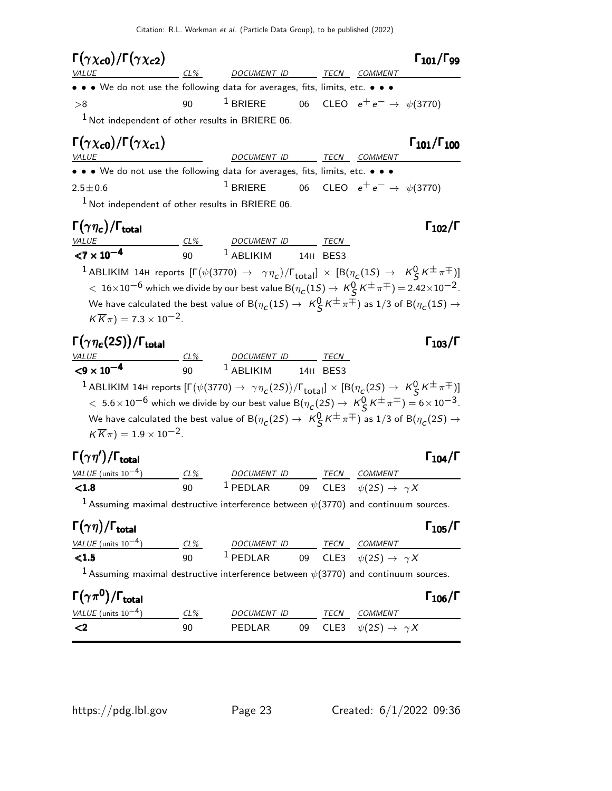Citation: R.L. Workman et al. (Particle Data Group), to be published (2022)